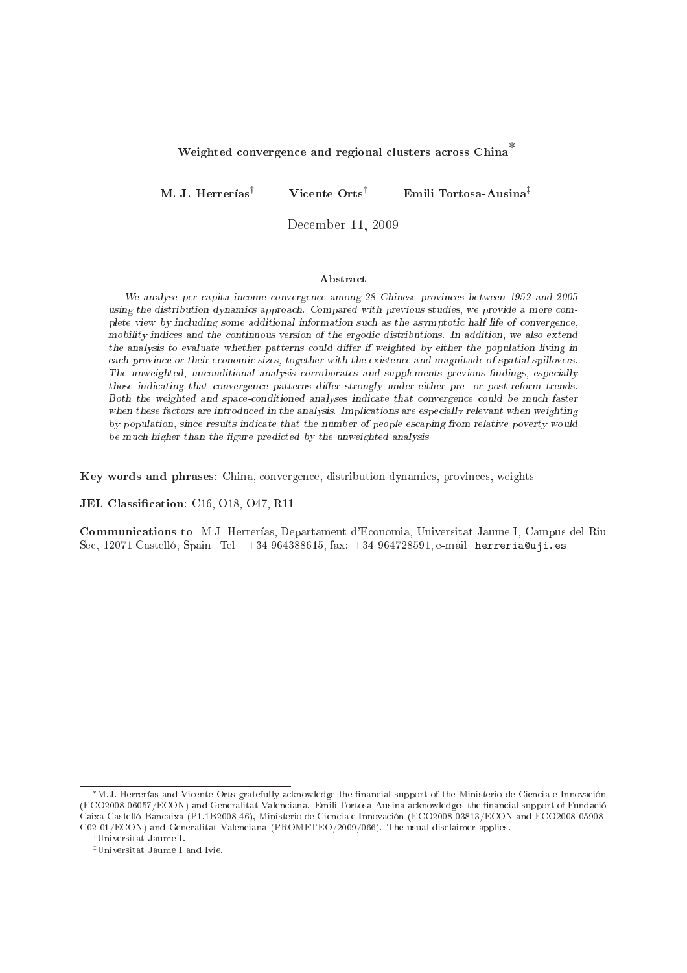# Weighted convergence and regional clusters across China<sup>\*</sup>

M. J. Herrerías† Vi
ente Orts† Emili Tortosa-Ausina‡

De
ember 11, <sup>2009</sup>

#### **Abstract**

We analyse per apita in
ome onvergen
e among <sup>28</sup> Chinese provin
es between <sup>1952</sup> and <sup>2005</sup> using the distribution dynami
s approa
h. Compared with previous studies, we provide <sup>a</sup> more omplette view by interesting stime concernation information such as the asymptotic income into the complement, mobility indicates were continuous versions. In addition, we addition, we also extend the contract continuous the analysis to evaluate whether patterns to mean analysis of weighted by either the population interpretation easing provinces in their existence and may in given it and many common comparisons in a partners where we are onditional analysis and supplements and supplements and supplements and previous previous non-monetary complements, those indi
ating that onvergen
e patterns dier strongly under either pre- or post-reform trends. Both the weighted and spa
eonditioned analyses indi
ate that onvergen
e ould be mu
h faster when the analysis. In the analysis are introduced in the analysis. In the analysis are especially relevant when we by population, sin
e results indi
ate that the number of people es
aping from relative poverty would be mu
h higher than the gure predi
ted by the unweighted analysis.

Key words and phrases: China, onvergen
e, distribution dynami
s, provin
es, weights

JEL Classification: C16, O18, O47, R11

Communi
ations to: M.J. Herrerías, Departament d'E
onomia, Universitat Jaume I, Campus del Riu Sec, 12071 Castelló, Spain. Tel.: +34 964388615, fax: +34 964728591, e-mail: herreria@uji.es

<sup>∗</sup>M.J. Herrerías and Vi
ente Orts gratefully a
knowledge the nan
ial support of the Ministerio de Cien
ia e Innova
ión (ECO2008-06057/ECON) and Generalitat Valenciana. Emili Tortosa-Ausina acknowledges the financial support of Fundació Caixa Castelló-Bancaixa (P1.1B2008-46), Ministerio de Ciencia e Innovación (ECO2008-03813/ECON and ECO2008-05908-C02-01/ECON) and Generalitat Valenciana (PROMETEO/2009/066). The usual disclaimer applies.

<sup>†</sup>Universitat Jaume I.

<sup>‡</sup>Universitat Jaume I and Ivie.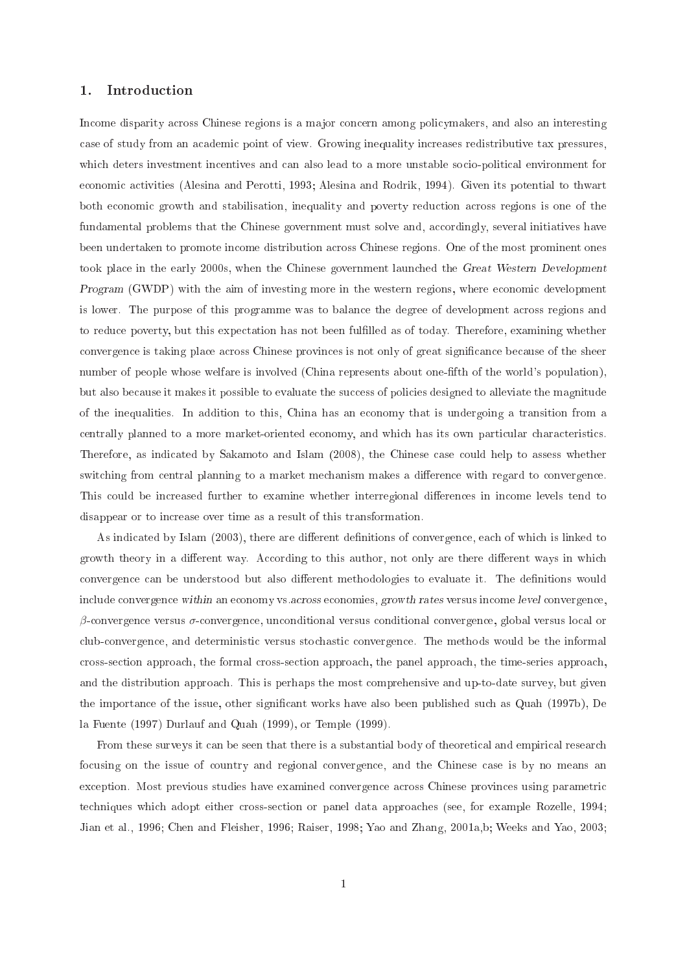#### 1.Introduction

Income disparity across Chinese regions is a major concern among policymakers, and also an interesting ase of study from an a
ademi point of view. Growing inequality in
reases redistributive tax pressures, which deters investment incentives and can also lead to a more unstable socio-political environment for economic activities (Alesina and Perotti, 1993; Alesina and Rodrik, 1994). Given its potential to thwart both economic growth and stabilisation, inequality and poverty reduction across regions is one of the fundamental problems that the Chinese government must solve and, accordingly, several initiatives have been undertaken to promote in
ome distribution a
ross Chinese regions. One of the most prominent ones took place in the early 2000s, when the Chinese government launched the Great Western Development Program (GWDP) with the aim of investing more in the western regions, where e
onomi development is lower. The purpose of this programme was to balance the degree of development across regions and to reduce poverty, but this expectation has not been fulfilled as of today. Therefore, examining whether convergence is taking place across Chinese provinces is not only of great significance because of the sheer number of people whose welfare is involved (China represents about one-fifth of the world's population), but also because it makes it possible to evaluate the success of policies designed to alleviate the magnitude of the inequalities. In addition to this, China has an e
onomy that is undergoing a transition from a centrally planned to a more market-oriented economy, and which has its own particular characteristics. Therefore, as indicated by Sakamoto and Islam (2008), the Chinese case could help to assess whether switching from central planning to a market mechanism makes a difference with regard to convergence. This could be increased further to examine whether interregional differences in income levels tend to disappear or to in
rease over time as a result of this transformation.

As indicated by Islam (2003), there are different definitions of convergence, each of which is linked to growth theory in a different way. According to this author, not only are there different ways in which convergence can be understood but also different methodologies to evaluate it. The definitions would include convergence within an economy vs. across economies, growth rates versus income level convergence,  $\beta$ -convergence versus  $\sigma$ -convergence, unconditional versus conditional convergence, global versus local or club-convergence, and deterministic versus stochastic convergence. The methods would be the informal cross-section approach, the formal cross-section approach, the panel approach, the time-series approach, and the distribution approach. This is perhaps the most comprehensive and up-to-date survey, but given the importance of the issue, other significant works have also been published such as Quah (1997b), De la Fuente (1997) Durlauf and Quah (1999), or Temple (1999).

From these surveys it can be seen that there is a substantial body of theoretical and empirical research focusing on the issue of country and regional convergence, and the Chinese case is by no means an exception. Most previous studies have examined convergence across Chinese provinces using parametric techniques which adopt either cross-section or panel data approaches (see, for example Rozelle, 1994; Jian et al., 1996; Chen and Fleisher, 1996; Raiser, 1998; Yao and Zhang, 2001a,b; Weeks and Yao, 2003;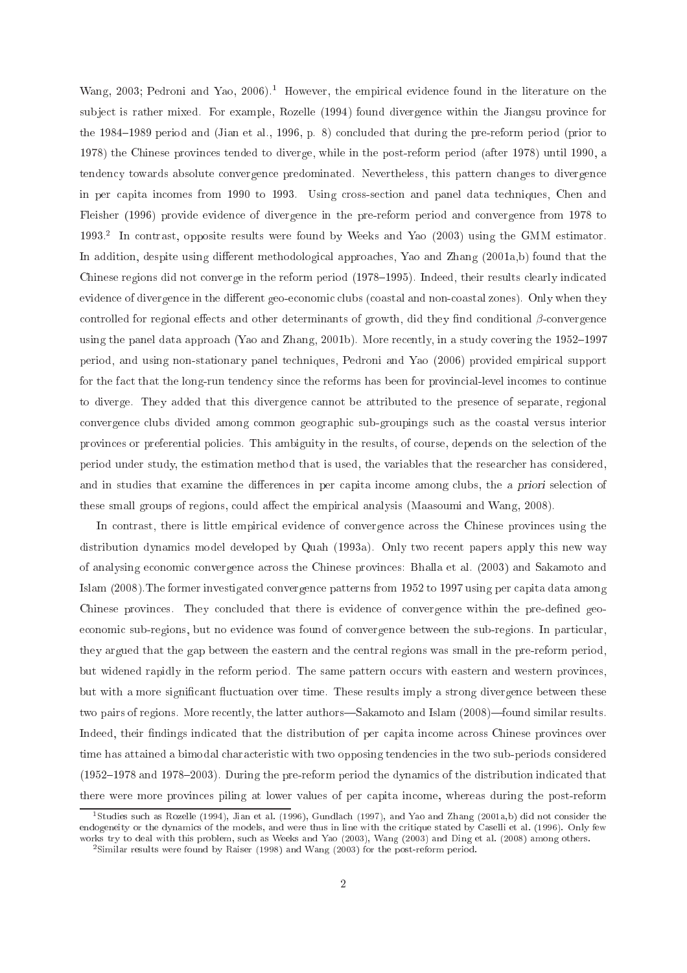Wang, 2003; Pedroni and Yao, 2006).<sup>1</sup> However, the empirical evidence found in the literature on the subject is rather mixed. For example, Rozelle (1994) found divergence within the Jiangsu province for the 1984–1989 period and (Jian et al., 1996, p. 8) concluded that during the pre-reform period (prior to 1978) the Chinese provin
es tended to diverge, while in the post-reform period (after 1978) until 1990, a tendency towards absolute convergence predominated. Nevertheless, this pattern changes to divergence in per apita in
omes from 1990 to 1993. Using ross-se
tion and panel data te
hniques, Chen and Fleisher (1996) provide evidence of divergence in the pre-reform period and convergence from 1978 to 1993.2 In ontrast, opposite results were found by Weeks and Yao (2003) using the GMM estimator. In addition, despite using different methodological approaches, Yao and Zhang (2001a,b) found that the Chinese regions did not converge in the reform period (1978–1995). Indeed, their results clearly indicated evidence of divergence in the different geo-economic clubs (coastal and non-coastal zones). Only when they controlled for regional effects and other determinants of growth, did they find conditional  $\beta$ -convergence using the panel data approach (Yao and Zhang, 2001b). More recently, in a study covering the 1952–1997 period, and using non-stationary panel te
hniques, Pedroni and Yao (2006) provided empiri
al support for the fact that the long-run tendency since the reforms has been for provincial-level incomes to continue to diverge. They added that this divergence cannot be attributed to the presence of separate, regional onvergen
e lubs divided among ommon geographi sub-groupings su
h as the oastal versus interior provin
es or preferential poli
ies. This ambiguity in the results, of ourse, depends on the sele
tion of the period under study, the estimation method that is used, the variables that the resear
her has onsidered, and in studies that examine the differences in per capita income among clubs, the a priori selection of these small groups of regions, could affect the empirical analysis (Maasoumi and Wang, 2008).

In contrast, there is little empirical evidence of convergence across the Chinese provinces using the distribution dynamics model developed by Quah (1993a). Only two recent papers apply this new way of analysing e
onomi onvergen
e a
ross the Chinese provin
es: Bhalla et al. (2003) and Sakamoto and Islam (2008).The former investigated onvergen
e patterns from 1952 to 1997 using per apita data among Chinese provinces. They concluded that there is evidence of convergence within the pre-defined geoeconomic sub-regions, but no evidence was found of convergence between the sub-regions. In particular, they argued that the gap between the eastern and the entral regions was small in the pre-reform period, but widened rapidly in the reform period. The same pattern occurs with eastern and western provinces, but with a more significant fluctuation over time. These results imply a strong divergence between these two pairs of regions. More recently, the latter authors—Sakamoto and Islam (2008)—found similar results. Indeed, their findings indicated that the distribution of per capita income across Chinese provinces over time has attained a bimodal characteristic with two opposing tendencies in the two sub-periods considered  $(1952-1978$  and  $1978-2003)$ . During the pre-reform period the dynamics of the distribution indicated that there were more provin
es piling at lower values of per apita in
ome, whereas during the post-reform

<sup>1</sup> Studies su
h as Rozelle (1994), Jian et al. (1996), Gundla
h (1997), and Yao and Zhang (2001a,b) did not onsider the endogeneity or the dynamics of the models, and were thus in line with the critique stated by Caselli et al. (1996). Only few works try to deal with this problem, such as Weeks and Yao (2003), Wang (2003) and Ding et al. (2008) among others.

<sup>2</sup> Similar results were found by Raiser (1998) and Wang (2003) for the post-reform period.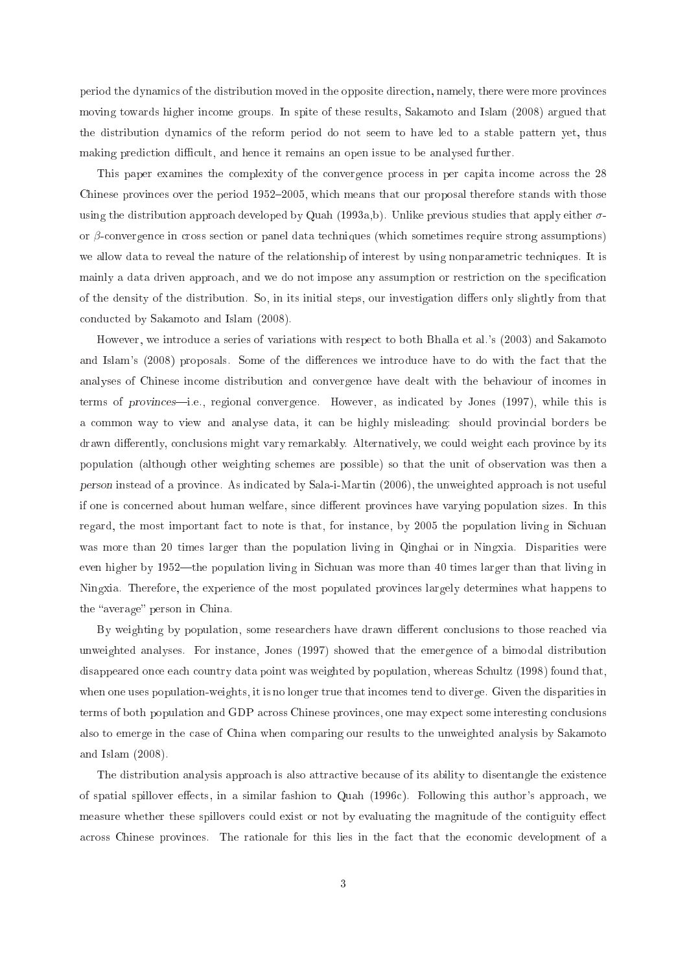period the dynami
s of the distribution moved in the opposite dire
tion, namely, there were more provin
es moving towards higher income groups. In spite of these results, Sakamoto and Islam (2008) argued that the distribution dynami
s of the reform period do not seem to have led to a stable pattern yet, thus making prediction difficult, and hence it remains an open issue to be analysed further.

This paper examines the complexity of the convergence process in per capita income across the 28 Chinese provinces over the period 1952–2005, which means that our proposal therefore stands with those using the distribution approach developed by Quah (1993a,b). Unlike previous studies that apply either  $\sigma$ or  $\beta$ -convergence in cross section or panel data techniques (which sometimes require strong assumptions) we allow data to reveal the nature of the relationship of interest by using nonparametric techniques. It is mainly a data driven approach, and we do not impose any assumption or restriction on the specification of the density of the distribution. So, in its initial steps, our investigation diers only slightly from that ondu
ted by Sakamoto and Islam (2008).

However, we introdu
e a series of variations with respe
t to both Bhalla et al.'s (2003) and Sakamoto and Islam's (2008) proposals. Some of the differences we introduce have to do with the fact that the analyses of Chinese in
ome distribution and onvergen
e have dealt with the behaviour of in
omes in terms of provinces—i.e., regional convergence. However, as indicated by Jones (1997), while this is a ommon way to view and analyse data, it an be highly misleading: should provin
ial borders be drawn differently, conclusions might vary remarkably. Alternatively, we could weight each province by its population (although other weighting s
hemes are possible) so that the unit of observation was then a person instead of a provincial continuum in personal and approach in the useful content approach in the unit of if one is on
erned about human welfare, sin
e dierent provin
es have varying population sizes. In this regard, the most important fact to note is that, for instance, by 2005 the population living in Sichuan was more than 20 times larger than the population living in Qinghai or in Ningxia. Disparities were even higher by 1952—the population living in Sichuan was more than 40 times larger than that living in Ningxia. Therefore, the experien
e of the most populated provin
es largely determines what happens to the "average" person in China.

By weighting by population, some researchers have drawn different conclusions to those reached via unweighted analyses. For instan
e, Jones (1997) showed that the emergen
e of a bimodal distribution disappeared once each country data point was weighted by population, whereas Schultz (1998) found that, when one uses population-weights, it is no longer true that in
omes tend to diverge. Given the disparities in terms of both population and GDP across Chinese provinces, one may expect some interesting conclusions also to emerge in the ase of China when omparing our results to the unweighted analysis by Sakamoto and Islam (2008).

The distribution analysis approach is also attractive because of its ability to disentangle the existence of spatial spillover effects, in a similar fashion to Quah (1996c). Following this author's approach, we measure whether these spillovers could exist or not by evaluating the magnitude of the contiguity effect across Chinese provinces. The rationale for this lies in the fact that the economic development of a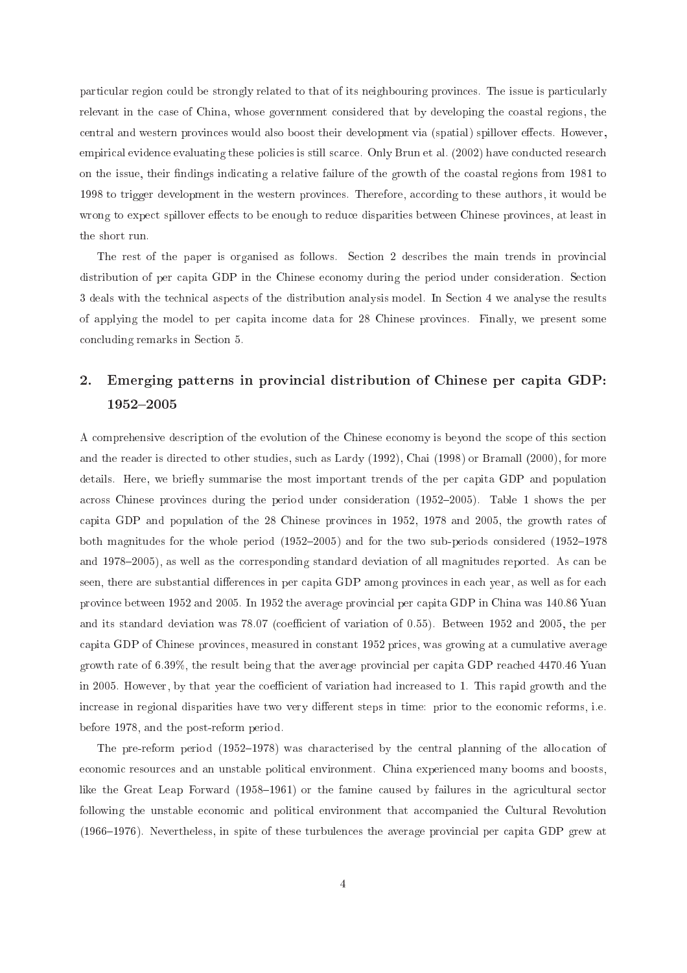particular region could be strongly related to that of its neighbouring provinces. The issue is particularly relevant in the case of China, whose government considered that by developing the coastal regions, the central and western provinces would also boost their development via (spatial) spillover effects. However, empirical evidence evaluating these policies is still scarce. Only Brun et al. (2002) have conducted research on the issue, their findings indicating a relative failure of the growth of the coastal regions from 1981 to 1998 to trigger development in the western provinces. Therefore, according to these authors, it would be wrong to expect spillover effects to be enough to reduce disparities between Chinese provinces, at least in the short run.

The rest of the paper is organised as follows. Section 2 describes the main trends in provincial distribution of per capita GDP in the Chinese economy during the period under consideration. Section 3 deals with the technical aspects of the distribution analysis model. In Section 4 we analyse the results of applying the model to per apita in
ome data for 28 Chinese provin
es. Finally, we present some on
luding remarks in Se
tion 5.

# 2.Emerging patterns in provincial distribution of Chinese per capita GDP:

A comprehensive description of the evolution of the Chinese economy is beyond the scope of this section and the reader is directed to other studies, such as Lardy (1992), Chai (1998) or Bramall (2000), for more details. Here, we briefly summarise the most important trends of the per capita GDP and population across Chinese provinces during the period under consideration (1952–2005). Table 1 shows the per apita GDP and population of the 28 Chinese provin
es in 1952, 1978 and 2005, the growth rates of both magnitudes for the whole period  $(1952-2005)$  and for the two sub-periods considered  $(1952-1978)$ and 1978–2005), as well as the corresponding standard deviation of all magnitudes reported. As can be seen, there are substantial differences in per capita GDP among provinces in each year, as well as for each provin
e between 1952 and 2005. In 1952 the average provin
ial per apita GDP in China was 140.86 Yuan and its standard deviation was 78.07 (coefficient of variation of 0.55). Between 1952 and 2005, the per apita GDP of Chinese provin
es, measured in onstant 1952 pri
es, was growing at a umulative average growth rate of 6.39%, the result being that the average provincial per capita GDP reached 4470.46 Yuan in 2005. However, by that year the coefficient of variation had increased to 1. This rapid growth and the increase in regional disparities have two very different steps in time: prior to the economic reforms, i.e. before 1978, and the post-reform period.

The pre-reform period  $(1952-1978)$  was characterised by the central planning of the allocation of economic resources and an unstable political environment. China experienced many booms and boosts, like the Great Leap Forward (1958–1961) or the famine caused by failures in the agricultural sector following the unstable economic and political environment that accompanied the Cultural Revolution (1966–1976). Nevertheless, in spite of these turbulences the average provincial per capita GDP grew at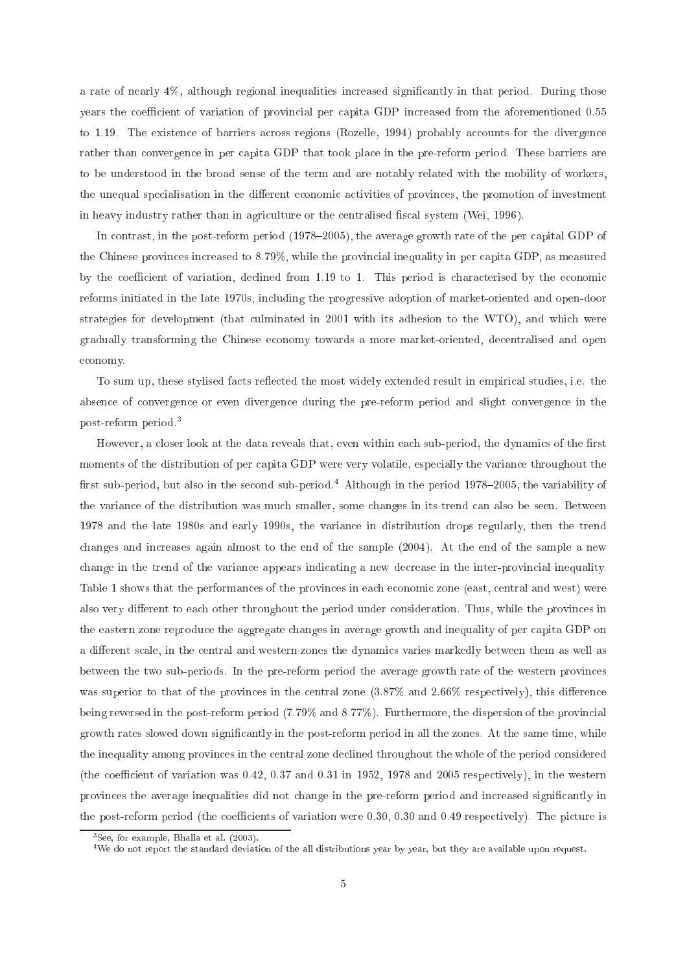a rate of nearly 4%, although regional inequalities increased significantly in that period. During those years the coefficient of variation of provincial per capita GDP increased from the aforementioned 0.55 to 1.19. The existence of barriers across regions (Rozelle, 1994) probably accounts for the divergence rather than convergence in per capita GDP that took place in the pre-reform period. These barriers are to be understood in the broad sense of the term and are notably related with the mobility of workers, the unequal specialisation in the different economic activities of provinces, the promotion of investment in heavy industry rather than in agriculture or the centralised fiscal system (Wei, 1996).

In contrast, in the post-reform period (1978–2005), the average growth rate of the per capital GDP of the Chinese provinces increased to 8.79%, while the provincial inequality in per capita GDP, as measured by the coefficient of variation, declined from 1.19 to 1. This period is characterised by the economic reforms initiated in the late 1970s, in
luding the progressive adoption of market-oriented and open-door strategies for development (that culminated in 2001 with its adhesion to the WTO), and which were gradually transforming the Chinese e
onomy towards a more market-oriented, de
entralised and open e
onomy.

To sum up, these stylised facts reflected the most widely extended result in empirical studies, i.e. the absen
e of onvergen
e or even divergen
e during the pre-reform period and slight onvergen
e in the post-reform period.3

However, a closer look at the data reveals that, even within each sub-period, the dynamics of the first moments of the distribution of per capita GDP were very volatile, especially the variance throughout the first sub-period, but also in the second sub-period.<sup>4</sup> Although in the period  $1978-2005$ , the variability of the varian
e of the distribution was mu
h smaller, some hanges in its trend an also be seen. Between 1978 and the late 1980s and early 1990s, the varian
e in distribution drops regularly, then the trend hanges and in
reases again almost to the end of the sample (2004). At the end of the sample a new change in the trend of the variance appears indicating a new decrease in the inter-provincial inequality. Table 1 shows that the performances of the provinces in each economic zone (east, central and west) were also very different to each other throughout the period under consideration. Thus, while the provinces in the eastern zone reproduce the aggregate changes in average growth and inequality of per capita GDP on a different scale, in the central and western zones the dynamics varies markedly between them as well as between the two sub-periods. In the pre-reform period the average growth rate of the western provin
es was superior to that of the provinces in the central zone  $(3.87\%$  and  $2.66\%$  respectively), this difference being reversed in the post-reform period (7.79% and 8.77%). Furthermore, the dispersion of the provin
ial growth rates slowed down significantly in the post-reform period in all the zones. At the same time, while the inequality among provin
es in the entral zone de
lined throughout the whole of the period onsidered (the coefficient of variation was  $0.42$ ,  $0.37$  and  $0.31$  in 1952, 1978 and 2005 respectively), in the western provinces the average inequalities did not change in the pre-reform period and increased significantly in the post-reform period (the coefficients of variation were  $0.30, 0.30$  and  $0.49$  respectively). The picture is

<sup>3</sup> See, for example, Bhalla et al. (2003).

<sup>4</sup>We do not report the standard deviation of the all distributions year by year, but they are available upon request.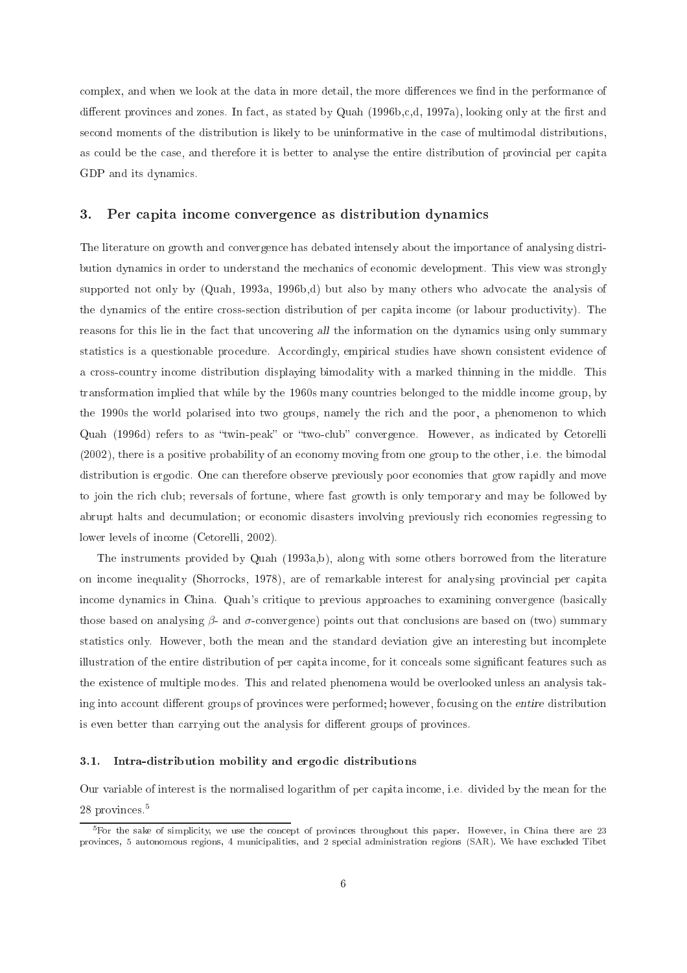complex, and when we look at the data in more detail, the more differences we find in the performance of different provinces and zones. In fact, as stated by Quah (1996b,c,d, 1997a), looking only at the first and second moments of the distribution is likely to be uninformative in the case of multimodal distributions, as could be the case, and therefore it is better to analyse the entire distribution of provincial per capita GDP and its dynami
s.

#### 3.Per capita income convergence as distribution dynamics

The literature on growth and onvergen
e has debated intensely about the importan
e of analysing distribution dynamics in order to understand the mechanics of economic development. This view was strongly supported not only by (Quah, 1993a, 1996b,d) but also by many others who advocate the analysis of the dynami
s of the entire ross-se
tion distribution of per apita in
ome (or labour produ
tivity). The reasons for this lie in the fact that uncovering all the information on the dynamics using only summary statistics is a questionable procedure. Accordingly, empirical studies have shown consistent evidence of a rossountry in
ome distribution displaying bimodality with a marked thinning in the middle. This transformation implied that while by the 1960s many ountries belonged to the middle in
ome group, by the 1990s the world polarised into two groups, namely the ri
h and the poor, a phenomenon to whi
h Quah (1996d) refers to as "twin-peak" or "two-club" convergence. However, as indicated by Cetorelli (2002), there is a positive probability of an e
onomy moving from one group to the other, i.e. the bimodal distribution is ergodic. One can therefore observe previously poor economies that grow rapidly and move to join the rich club; reversals of fortune, where fast growth is only temporary and may be followed by abrupt halts and decumulation; or economic disasters involving previously rich economies regressing to lower levels of income (Cetorelli, 2002).

The instruments provided by Quah (1993a,b), along with some others borrowed from the literature on in
ome inequality (Shorro
ks, 1978), are of remarkable interest for analysing provin
ial per apita income dynamics in China. Quah's critique to previous approaches to examining convergence (basically those based on analysing  $\beta$ - and  $\sigma$ -convergence) points out that conclusions are based on (two) summary statisti
s only. However, both the mean and the standard deviation give an interesting but in
omplete illustration of the entire distribution of per capita income, for it conceals some significant features such as the existen
e of multiple modes. This and related phenomena would be overlooked unless an analysis taking into account different groups of provinces were performed; however, focusing on the entire distribution is even better than carrying out the analysis for different groups of provinces.

### 3.1. Intra-distribution mobility and ergodi distributions

Our variable of interest is the normalised logarithm of per capita income, i.e. divided by the mean for the 28 provin
es.5

For the sake of simplicity, we use the concept of provinces throughout this paper. However, in China there are 25 provinces, 5 autonomous regions, 4 municipalities, and 2 special administration regions (SAR). We have excluded Tibet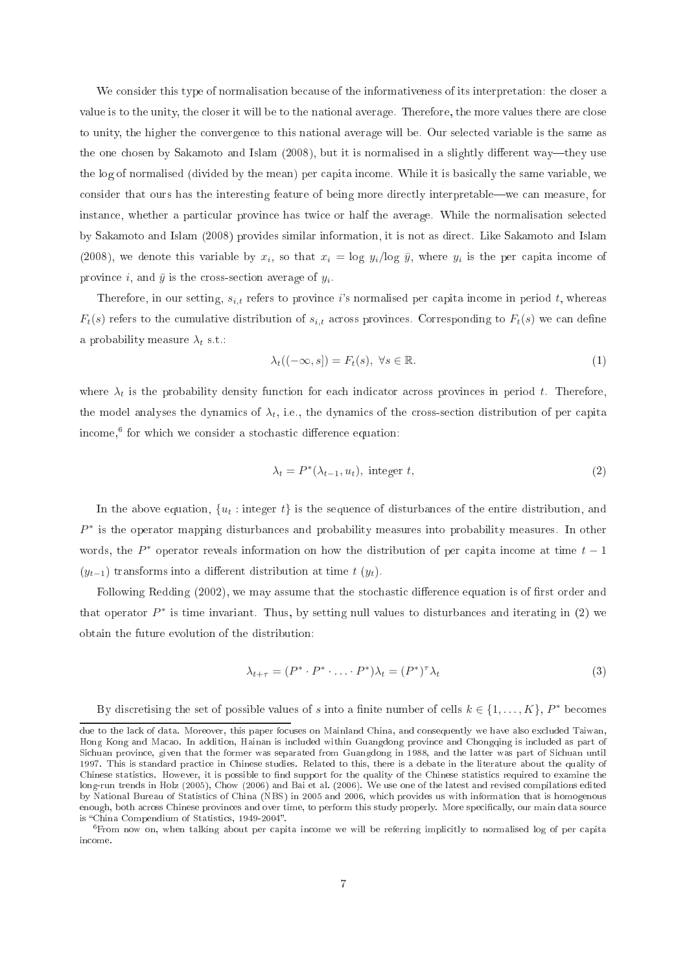We consider this type of normalisation because of the informativeness of its interpretation: the closer a value is to the unity, the closer it will be to the national average. Therefore, the more values there are close to unity, the higher the onvergen
e to this national average will be. Our sele
ted variable is the same as the one chosen by Sakamoto and Islam (2008), but it is normalised in a slightly different way—they use the log of normalised (divided by the mean) per apita in
ome. While it is basi
ally the same variable, we consider that ours has the interesting feature of being more directly interpretable—we can measure, for instan
e, whether a parti
ular provin
e has twi
e or half the average. While the normalisation sele
ted by Sakamoto and Islam (2008) provides similar information, it is not as dire
t. Like Sakamoto and Islam (2008), we denote this variable by  $x_i$ , so that  $x_i = \log y_i / \log \bar{y}$ , where  $y_i$  is the per capita income of province *i*, and  $\bar{y}$  is the cross-section average of  $y_i$ .

Therefore, in our setting,  $s_{i,t}$  refers to province is normalised per capita income in period t, whereas  $F_t(s)$  refers to the cumulative distribution of  $s_{i,t}$  across provinces. Corresponding to  $F_t(s)$  we can define a probability measure  $\lambda_t$  s.t.:

$$
\lambda_t((-\infty, s]) = F_t(s), \ \forall s \in \mathbb{R}.\tag{1}
$$

where  $\lambda_t$  is the probability density function for each indicator across provinces in period t. Therefore, the model analyses the dynamics of  $\lambda_t$ , i.e., the dynamics of the cross-section distribution of per capita income, tor which we consider a stochastic difference equation:

$$
\lambda_t = P^*(\lambda_{t-1}, u_t), \text{ integer } t,
$$
\n<sup>(2)</sup>

In the above equation,  $\{u_t: \text{integer } t\}$  is the sequence of disturbances of the entire distribution, and  $P^*$  is the operator mapping disturbances and probability measures into probability measures. In other words, the  $P^*$  operator reveals information on how the distribution of per capita income at time  $t-1$  $(y_{t-1})$  transforms into a different distribution at time  $t(y_t)$ .

Following Redding (2002), we may assume that the stochastic difference equation is of first order and that operator  $P^*$  is time invariant. Thus, by setting null values to disturbances and iterating in (2) we obtain the future evolution of the distribution:

$$
\lambda_{t+\tau} = (P^* \cdot P^* \cdot \ldots \cdot P^*) \lambda_t = (P^*)^{\tau} \lambda_t \tag{3}
$$

By discretising the set of possible values of s into a finite number of cells  $k \in \{1, ..., K\}$ ,  $P^*$  becomes

due to the lack of data. Moreover, this paper focuses on Mainland China, and consequently we have also excluded Taiwan, Hong Kong and Macao. In addition, Hainan is included within Guangdong province and Chongqing is included as part of Sichuan province, given that the former was separated from Guangdong in 1988, and the latter was part of Sichuan until 1997. This is standard practice in Chinese studies. Related to this, there is a debate in the literature about the quality of Chinese statistics. However, it is possible to find support for the quality of the Chinese statistics required to examine the long-run trends in Holz (2005), Chow (2006) and Bai et al. (2006). We use one of the latest and revised compilations edited by National Bureau of Statistics of China (NBS) in 2005 and 2006, which provides us with information that is homogenous enough, both across Chinese provinces and over time, to perform this study properly. More specifically, our main data source is "China Compendium of Statistics, 1949-2004".

<sup>-</sup>riom now on, when talking about per capita income we will be referring implicitly to normalised log of per capita in
ome.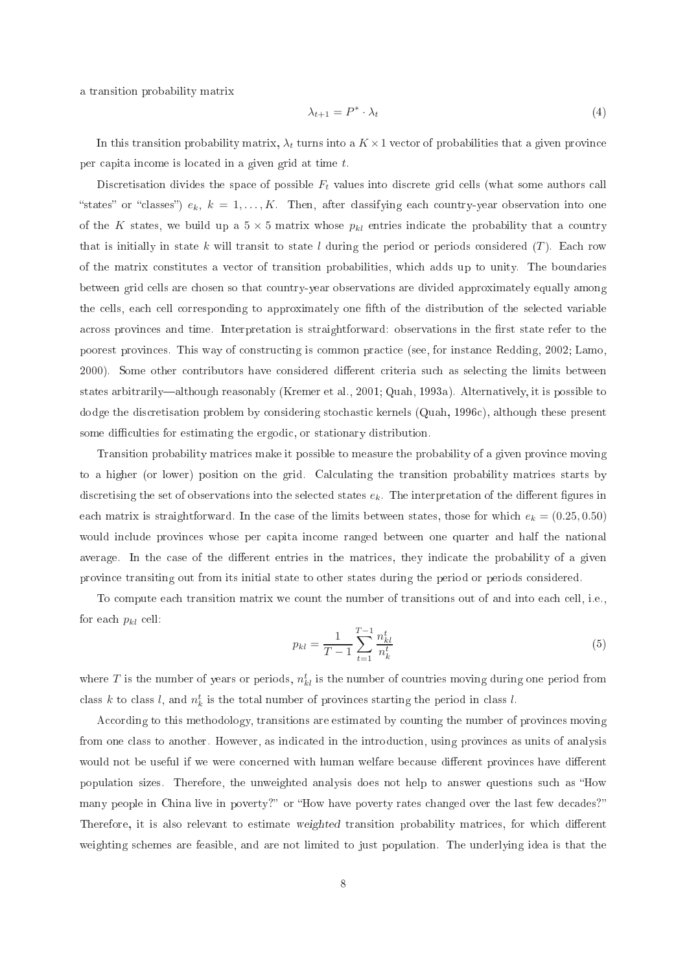a transition probability matrix

$$
\lambda_{t+1} = P^* \cdot \lambda_t \tag{4}
$$

In this transition probability matrix,  $\lambda_t$  turns into a  $K \times 1$  vector of probabilities that a given province per capita income is located in a given grid at time t.

Discretisation divides the space of possible  $F_t$  values into discrete grid cells (what some authors call "states" or "classes")  $e_k$ ,  $k = 1, ..., K$ . Then, after classifying each country-year observation into one of the K states, we build up a  $5 \times 5$  matrix whose  $p_{kl}$  entries indicate the probability that a country that is initially in state k will transit to state l during the period or periods considered  $(T)$ . Each row of the matrix onstitutes a ve
tor of transition probabilities, whi
h adds up to unity. The boundaries between grid ells are hosen so that ountry-year observations are divided approximately equally among the cells, each cell corresponding to approximately one fifth of the distribution of the selected variable across provinces and time. Interpretation is straightforward: observations in the first state refer to the poorest provinces. This way of constructing is common practice (see, for instance Redding, 2002; Lamo, 2000). Some other contributors have considered different criteria such as selecting the limits between states arbitrarily—although reasonably (Kremer et al., 2001; Quah, 1993a). Alternatively, it is possible to dodge the dis
retisation problem by onsidering sto
hasti kernels (Quah, 1996
), although these present some difficulties for estimating the ergodic, or stationary distribution.

Transition probability matri
es make it possible to measure the probability of a given provin
e moving to a higher (or lower) position on the grid. Cal
ulating the transition probability matri
es starts by discretising the set of observations into the selected states  $e_k$ . The interpretation of the different figures in each matrix is straightforward. In the case of the limits between states, those for which  $e_k = (0.25, 0.50)$ would in
lude provin
es whose per apita in
ome ranged between one quarter and half the national average. In the case of the different entries in the matrices, they indicate the probability of a given provin
e transiting out from its initial state to other states during the period or periods onsidered.

To compute each transition matrix we count the number of transitions out of and into each cell, i.e., for each  $p_{kl}$  cell:

$$
p_{kl} = \frac{1}{T-1} \sum_{t=1}^{T-1} \frac{n_{kl}^t}{n_k^t}
$$
\n(5)

where  $T$  is the number of years or periods,  $n^t_{kl}$  is the number of countries moving during one period from class k to class l, and  $n_k^t$  is the total number of provinces starting the period in class l.

According to this methodology, transitions are estimated by counting the number of provinces moving from one class to another. However, as indicated in the introduction, using provinces as units of analysis would not be useful if we were concerned with human welfare because different provinces have different population sizes. Therefore, the unweighted analysis does not help to answer questions such as "How many people in China live in poverty?" or "How have poverty rates changed over the last few decades?" Therefore, it is also relevant to estimate weighted transition probability matrices, for which different weighting s
hemes are feasible, and are not limited to just population. The underlying idea is that the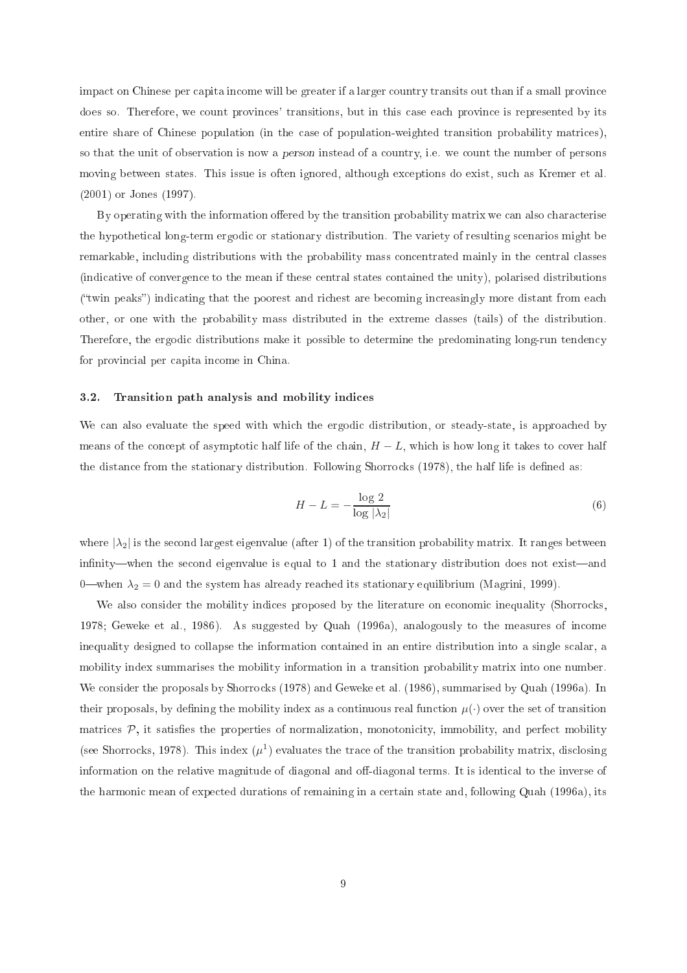impact on Chinese per capita income will be greater if a larger country transits out than if a small province does so. Therefore, we count provinces' transitions, but in this case each province is represented by its entire share of Chinese population (in the case of population-weighted transition probability matrices), so that the unit of observation is now a *person* instead of a country, i.e. we count the number of persons moving between states. This issue is often ignored, although ex
eptions do exist, su
h as Kremer et al. (2001) or Jones (1997).

By operating with the information offered by the transition probability matrix we can also characterise the hypotheti
al long-term ergodi or stationary distribution. The variety of resulting s
enarios might be remarkable, in
luding distributions with the probability mass on
entrated mainly in the entral lasses (indi
ative of onvergen
e to the mean if these entral states ontained the unity), polarised distributions ("twin peaks") indicating that the poorest and richest are becoming increasingly more distant from each other, or one with the probability mass distributed in the extreme lasses (tails) of the distribution. Therefore, the ergodic distributions make it possible to determine the predominating long-run tendency for provin
ial per apita in
ome in China.

## 3.2. Transition path analysis and mobility indi
es

We can also evaluate the speed with which the ergodic distribution, or steady-state, is approached by means of the concept of asymptotic half life of the chain,  $H - L$ , which is how long it takes to cover half the distance from the stationary distribution. Following Shorrocks (1978), the half life is defined as:

$$
H - L = -\frac{\log 2}{\log |\lambda_2|} \tag{6}
$$

where  $|\lambda_2|$  is the second largest eigenvalue (after 1) of the transition probability matrix. It ranges between infinity—when the second eigenvalue is equal to 1 and the stationary distribution does not exist—and 0—when  $\lambda_2 = 0$  and the system has already reached its stationary equilibrium (Magrini, 1999).

We also consider the mobility indices proposed by the literature on economic inequality (Shorrocks, 1978; Geweke et al., 1986). As suggested by Quah (1996a), analogously to the measures of in
ome inequality designed to collapse the information contained in an entire distribution into a single scalar, a mobility index summarises the mobility information in a transition probability matrix into one number. We consider the proposals by Shorrocks (1978) and Geweke et al. (1986), summarised by Quah (1996a). In their proposals, by defining the mobility index as a continuous real function  $\mu(\cdot)$  over the set of transition matrices  $P$ , it satisfies the properties of normalization, monotonicity, immobility, and perfect mobility (see Shorrocks, 1978). This index  $(\mu^1)$  evaluates the trace of the transition probability matrix, disclosing information on the relative magnitude of diagonal and off-diagonal terms. It is identical to the inverse of the harmoni mean of expe
ted durations of remaining in a ertain state and, following Quah (1996a), its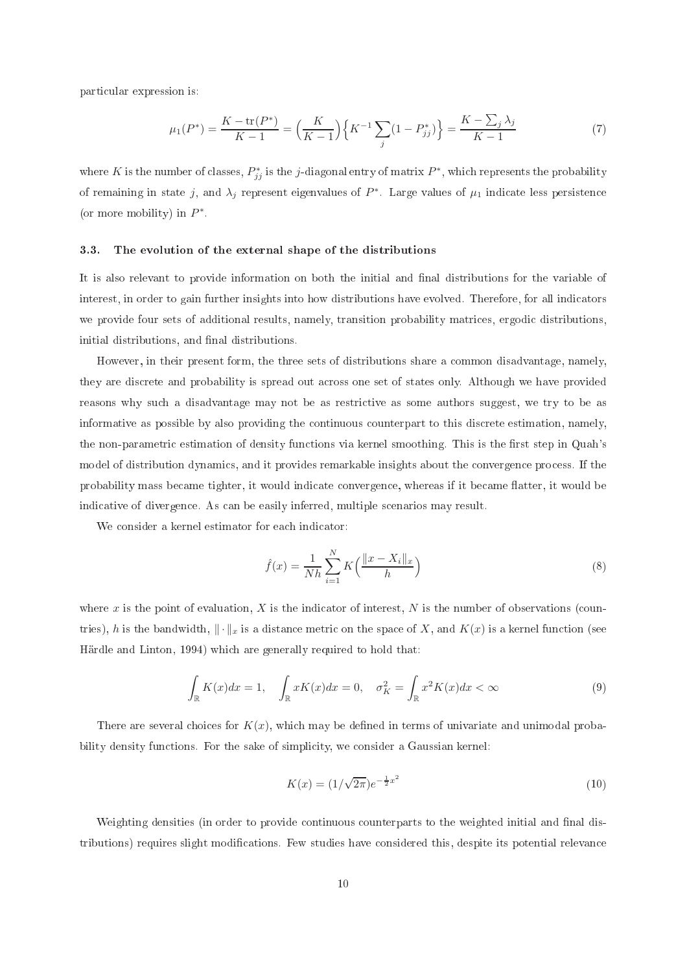parti
ular expression is:

$$
\mu_1(P^*) = \frac{K - \text{tr}(P^*)}{K - 1} = \left(\frac{K}{K - 1}\right) \left\{K^{-1} \sum_j (1 - P^*_{jj})\right\} = \frac{K - \sum_j \lambda_j}{K - 1} \tag{7}
$$

where K is the number of classes,  $P_{jj}^*$  is the j-diagonal entry of matrix  $P^*$ , which represents the probability of remaining in state j, and  $\lambda_j$  represent eigenvalues of  $P^*$ . Large values of  $\mu_1$  indicate less persistence (or more mobility) in  $P^*$ .

### 3.3. The evolution of the external shape of the distributions

It is also relevant to provide information on both the initial and final distributions for the variable of interest, in order to gain further insights into how distributions have evolved. Therefore, for all indicators we provide four sets of additional results, namely, transition probability matrices, ergodic distributions, initial distributions, and final distributions.

However, in their present form, the three sets of distributions share a ommon disadvantage, namely, they are dis
rete and probability is spread out a
ross one set of states only. Although we have provided reasons why such a disadvantage may not be as restrictive as some authors suggest, we try to be as informative as possible by also providing the ontinuous ounterpart to this dis
rete estimation, namely, the non-parametric estimation of density functions via kernel smoothing. This is the first step in Quah's model of distribution dynamics, and it provides remarkable insights about the convergence process. If the probability mass became tighter, it would indicate convergence, whereas if it became flatter, it would be indi
ative of divergen
e. As an be easily inferred, multiple s
enarios may result.

We consider a kernel estimator for each indicator:

$$
\hat{f}(x) = \frac{1}{Nh} \sum_{i=1}^{N} K\left(\frac{\|x - X_i\|_x}{h}\right)
$$
\n(8)

where  $x$  is the point of evaluation,  $X$  is the indicator of interest,  $N$  is the number of observations (countries), h is the bandwidth,  $\|\cdot\|_x$  is a distance metric on the space of X, and  $K(x)$  is a kernel function (see Härdle and Linton, 1994) whi
h are generally required to hold that:

$$
\int_{\mathbb{R}} K(x)dx = 1, \quad \int_{\mathbb{R}} xK(x)dx = 0, \quad \sigma_K^2 = \int_{\mathbb{R}} x^2K(x)dx < \infty
$$
\n(9)

There are several choices for  $K(x)$ , which may be defined in terms of univariate and unimodal probability density functions. For the sake of simplicity, we consider a Gaussian kernel:

$$
K(x) = (1/\sqrt{2\pi})e^{-\frac{1}{2}x^2}
$$
\n(10)

Weighting densities (in order to provide continuous counterparts to the weighted initial and final distributions) requires slight modifications. Few studies have considered this, despite its potential relevance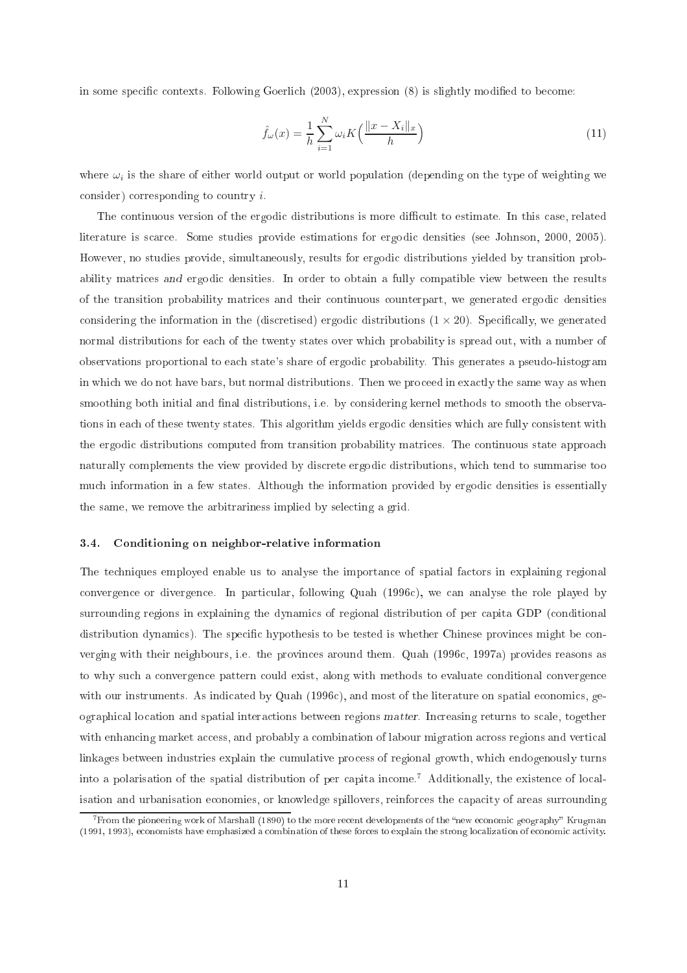in some specific contexts. Following Goerlich (2003), expression (8) is slightly modified to become:

$$
\hat{f}_{\omega}(x) = \frac{1}{h} \sum_{i=1}^{N} \omega_i K\left(\frac{\|x - X_i\|_x}{h}\right)
$$
\n(11)

where  $\omega_i$  is the share of either world output or world population (depending on the type of weighting we consider) corresponding to country  $i$ .

The continuous version of the ergodic distributions is more difficult to estimate. In this case, related literature is scarce. Some studies provide estimations for ergodic densities (see Johnson, 2000, 2005). However, no studies provide, simultaneously, results for ergodic distributions yielded by transition probability matrices and ergodic densities. In order to obtain a fully compatible view between the results of the transition probability matri
es and their ontinuous ounterpart, we generated ergodi densities considering the information in the (discretised) ergodic distributions  $(1 \times 20)$ . Specifically, we generated normal distributions for ea
h of the twenty states over whi
h probability is spread out, with a number of observations proportional to ea
h state's share of ergodi probability. This generates a pseudo-histogram in which we do not have bars, but normal distributions. Then we proceed in exactly the same way as when smoothing both initial and final distributions, i.e. by considering kernel methods to smooth the observations in ea
h of these twenty states. This algorithm yields ergodi densities whi
h are fully onsistent with the ergodic distributions computed from transition probability matrices. The continuous state approach naturally omplements the view provided by dis
rete ergodi distributions, whi
h tend to summarise too mu
h information in a few states. Although the information provided by ergodi densities is essentially the same, we remove the arbitrariness implied by selecting a grid.

### 3.4. Conditioning on neighbor-relative information

The te
hniques employed enable us to analyse the importan
e of spatial fa
tors in explaining regional convergence or divergence. In particular, following Quah (1996c), we can analyse the role played by surrounding regions in explaining the dynamics of regional distribution of per capita GDP (conditional distribution dynamics). The specific hypothesis to be tested is whether Chinese provinces might be converging with their neighbours, i.e. the provin
es around them. Quah (1996
, 1997a) provides reasons as to why such a convergence pattern could exist, along with methods to evaluate conditional convergence with our instruments. As indicated by Quah (1996c), and most of the literature on spatial economics, geographi
al lo
ation and spatial intera
tions between regions matter. In
reasing returns to s
ale, together with enhancing market access, and probably a combination of labour migration across regions and vertical linkages between industries explain the cumulative process of regional growth, which endogenously turns into a polarisation of the spatial distribution of per capita income.<sup>7</sup> Additionally, the existence of localisation and urbanisation economies, or knowledge spillovers, reinforces the capacity of areas surrounding

<sup>.</sup> From the pioneering work of Marshall (1890) to the more recent developments of the "new economic geography" Krugman (1991, 1993), economists have emphasized a combination of these forces to explain the strong localization of economic activity.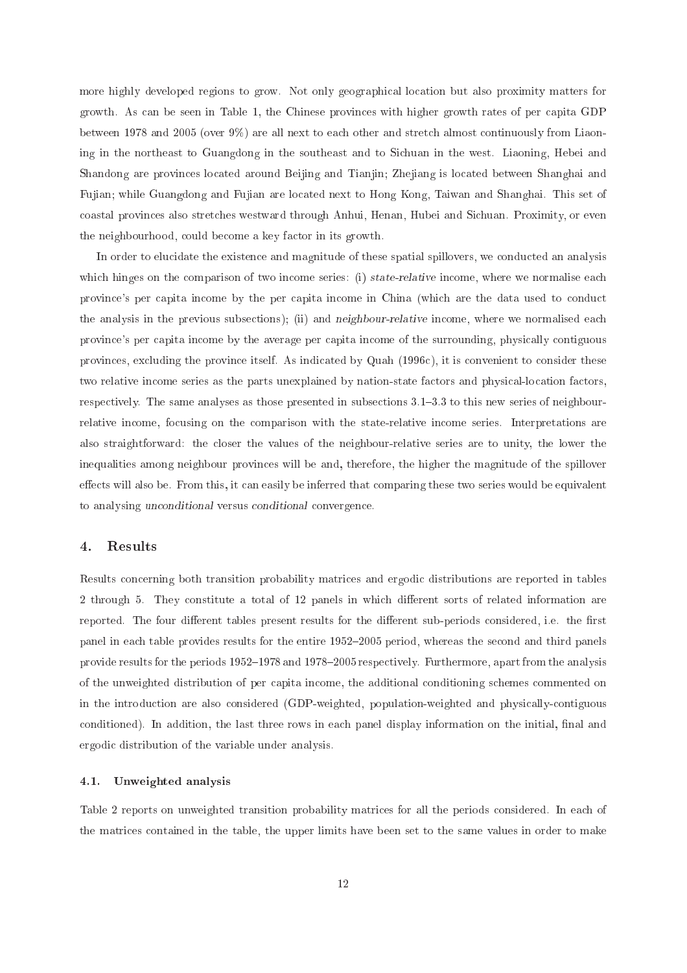more highly developed regions to grow. Not only geographi
al lo
ation but also proximity matters for growth. As can be seen in Table 1, the Chinese provinces with higher growth rates of per capita GDP between 1978 and 2005 (over 9%) are all next to each other and stretch almost continuously from Liaoning in the northeast to Guangdong in the southeast and to Si
huan in the west. Liaoning, Hebei and Shandong are provin
es lo
ated around Beijing and Tianjin; Zhejiang is lo
ated between Shanghai and Fujian; while Guangdong and Fujian are lo
ated next to Hong Kong, Taiwan and Shanghai. This set of oastal provin
es also stret
hes westward through Anhui, Henan, Hubei and Si
huan. Proximity, or even the neighbourhood, ould be
ome a key fa
tor in its growth.

In order to elucidate the existence and magnitude of these spatial spillovers, we conducted an analysis which hinges on the comparison of two income series: (i) state-relative income, where we normalise each provin
e's per apita in
ome by the per apita in
ome in China (whi
h are the data used to ondu
t the analysis in the previous subsections); (ii) and *neighbour-relative* income, where we normalised each provin
e's per apita in
ome by the average per apita in
ome of the surrounding, physi
ally ontiguous provinces, excluding the province itself. As indicated by Quah (1996c), it is convenient to consider these two relative income series as the parts unexplained by nation-state factors and physical-location factors, respectively. The same analyses as those presented in subsections  $3.1-3.3$  to this new series of neighbourrelative income, focusing on the comparison with the state-relative income series. Interpretations are also straightforward: the loser the values of the neighbour-relative series are to unity, the lower the inequalities among neighbour provin
es will be and, therefore, the higher the magnitude of the spillover effects will also be. From this, it can easily be inferred that comparing these two series would be equivalent to analysing unconditional versus conditional convergence.

#### 4.Results

Results concerning both transition probability matrices and ergodic distributions are reported in tables 2 through 5. They constitute a total of 12 panels in which different sorts of related information are reported. The four different tables present results for the different sub-periods considered, i.e. the first panel in each table provides results for the entire 1952–2005 period, whereas the second and third panels provide results for the periods  $1952-1978$  and  $1978-2005$  respectively. Furthermore, apart from the analysis of the unweighted distribution of per apita in
ome, the additional onditioning s
hemes ommented on in the introduction are also considered (GDP-weighted, population-weighted and physically-contiguous conditioned). In addition, the last three rows in each panel display information on the initial, final and ergodi distribution of the variable under analysis.

### 4.1. Unweighted analysis

Table 2 reports on unweighted transition probability matrices for all the periods considered. In each of the matri
es ontained in the table, the upper limits have been set to the same values in order to make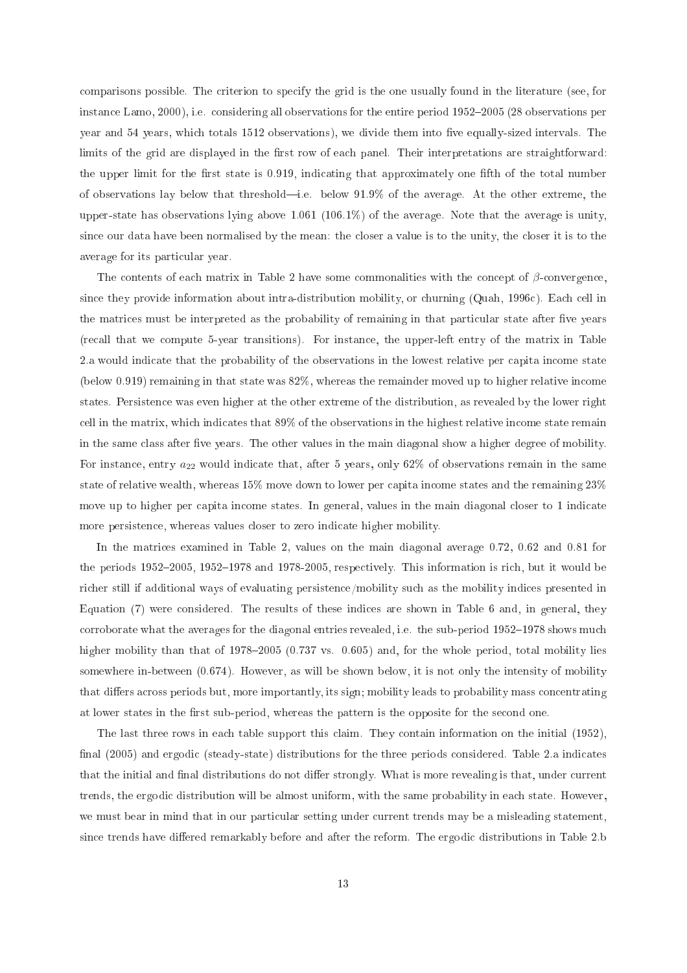omparisons possible. The riterion to spe
ify the grid is the one usually found in the literature (see, for instance Lamo, 2000), i.e. considering all observations for the entire period 1952-2005 (28 observations per year and 54 years, which totals 1512 observations), we divide them into five equally-sized intervals. The limits of the grid are displayed in the first row of each panel. Their interpretations are straightforward: the upper limit for the first state is 0.919, indicating that approximately one fifth of the total number of observations lay below that threshold—i.e. below  $91.9\%$  of the average. At the other extreme, the upper-state has observations lying above 1.061  $(106.1\%)$  of the average. Note that the average is unity, since our data have been normalised by the mean: the closer a value is to the unity, the closer it is to the average for its parti
ular year.

The contents of each matrix in Table 2 have some commonalities with the concept of  $\beta$ -convergence, since they provide information about intra-distribution mobility, or churning (Quah, 1996c). Each cell in the matrices must be interpreted as the probability of remaining in that particular state after five years (re
all that we ompute 5-year transitions). For instan
e, the upper-left entry of the matrix in Table 2.a would indi
ate that the probability of the observations in the lowest relative per apita in
ome state (below 0.919) remaining in that state was 82%, whereas the remainder moved up to higher relative in
ome states. Persisten
e was even higher at the other extreme of the distribution, as revealed by the lower right ell in the matrix, whi
h indi
ates that 89% of the observations in the highest relative in
ome state remain in the same class after five years. The other values in the main diagonal show a higher degree of mobility. For instance, entry  $a_{22}$  would indicate that, after 5 years, only 62% of observations remain in the same state of relative wealth, whereas  $15\%$  move down to lower per capita income states and the remaining  $23\%$ move up to higher per capita income states. In general, values in the main diagonal closer to 1 indicate more persistence, whereas values closer to zero indicate higher mobility.

In the matrices examined in Table 2, values on the main diagonal average 0.72, 0.62 and 0.81 for the periods 1952–2005, 1952–1978 and 1978-2005, respectively. This information is rich, but it would be ri
her still if additional ways of evaluating persisten
e/mobility su
h as the mobility indi
es presented in Equation (7) were considered. The results of these indices are shown in Table 6 and, in general, they corroborate what the averages for the diagonal entries revealed, i.e. the sub-period  $1952-1978$  shows much higher mobility than that of 1978-2005 (0.737 vs. 0.605) and, for the whole period, total mobility lies somewhere in-between (0.674). However, as will be shown below, it is not only the intensity of mobility that differs across periods but, more importantly, its sign; mobility leads to probability mass concentrating at lower states in the first sub-period, whereas the pattern is the opposite for the second one.

The last three rows in each table support this claim. They contain information on the initial (1952), final (2005) and ergodic (steady-state) distributions for the three periods considered. Table 2.a indicates that the initial and final distributions do not differ strongly. What is more revealing is that, under current trends, the ergodi distribution will be almost uniform, with the same probability in ea
h state. However, we must bear in mind that in our particular setting under current trends may be a misleading statement, since trends have differed remarkably before and after the reform. The ergodic distributions in Table 2.b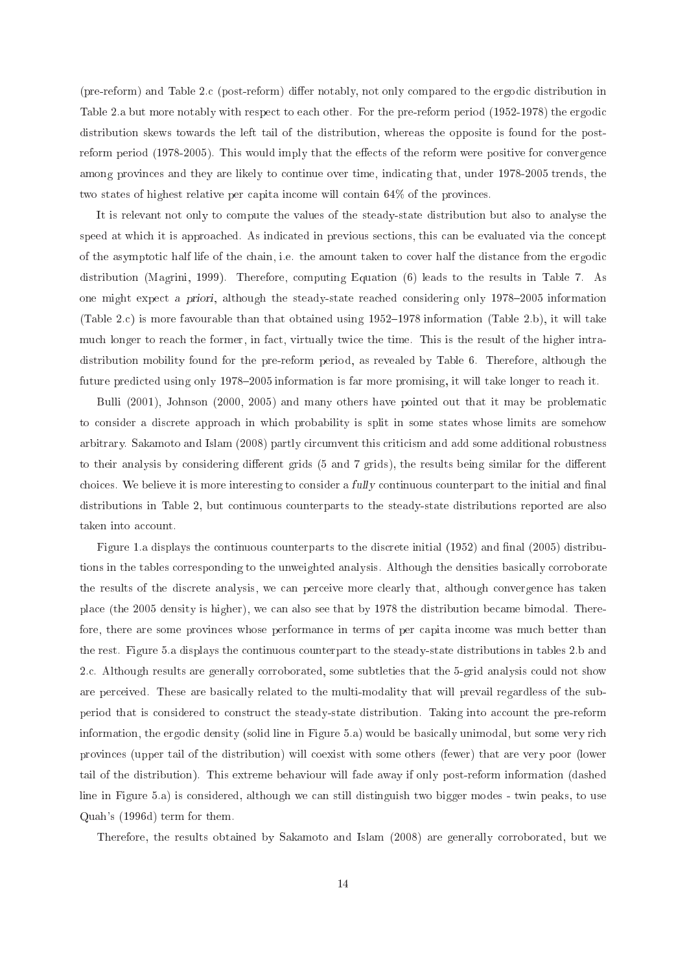(pre-reform) and Table 2.c (post-reform) differ notably, not only compared to the ergodic distribution in Table 2.a but more notably with respect to each other. For the pre-reform period (1952-1978) the ergodic distribution skews towards the left tail of the distribution, whereas the opposite is found for the postreform period (1978-2005). This would imply that the effects of the reform were positive for convergence among provinces and they are likely to continue over time, indicating that, under 1978-2005 trends, the two states of highest relative per capita income will contain 64% of the provinces.

It is relevant not only to ompute the values of the steady-state distribution but also to analyse the speed at which it is approached. As indicated in previous sections, this can be evaluated via the concept of the asymptotic half life of the chain, i.e. the amount taken to cover half the distance from the ergodic distribution (Magrini, 1999). Therefore, omputing Equation (6) leads to the results in Table 7. As one might expect a priori, although the steady-state reached considering only 1978–2005 information (Table 2.c) is more favourable than that obtained using  $1952-1978$  information (Table 2.b), it will take mu
h longer to rea
h the former, in fa
t, virtually twi
e the time. This is the result of the higher intradistribution mobility found for the pre-reform period, as revealed by Table 6. Therefore, although the future predicted using only 1978–2005 information is far more promising, it will take longer to reach it.

Bulli (2001), Johnson (2000, 2005) and many others have pointed out that it may be problematic to consider a discrete approach in which probability is split in some states whose limits are somehow arbitrary. Sakamoto and Islam (2008) partly circumvent this criticism and add some additional robustness to their analysis by considering different grids (5 and 7 grids), the results being similar for the different choices. We believe it is more interesting to consider a *fully* continuous counterpart to the initial and final distributions in Table 2, but continuous counterparts to the steady-state distributions reported are also taken into account.

Figure 1.a displays the continuous counterparts to the discrete initial (1952) and final (2005) distributions in the tables orresponding to the unweighted analysis. Although the densities basi
ally orroborate the results of the dis
rete analysis, we an per
eive more learly that, although onvergen
e has taken pla
e (the 2005 density is higher), we an also see that by 1978 the distribution be
ame bimodal. Therefore, there are some provinces whose performance in terms of per capita income was much better than the rest. Figure 5.a displays the ontinuous ounterpart to the steady-state distributions in tables 2.b and 2.
. Although results are generally orroborated, some subtleties that the 5-grid analysis ould not show are perceived. These are basically related to the multi-modality that will prevail regardless of the subperiod that is considered to construct the steady-state distribution. Taking into account the pre-reform information, the ergodic density (solid line in Figure 5.a) would be basically unimodal, but some very rich provin
es (upper tail of the distribution) will oexist with some others (fewer) that are very poor (lower tail of the distribution). This extreme behaviour will fade away if only post-reform information (dashed line in Figure 5.a) is considered, although we can still distinguish two bigger modes - twin peaks, to use Quah's (1996d) term for them.

Therefore, the results obtained by Sakamoto and Islam (2008) are generally corroborated, but we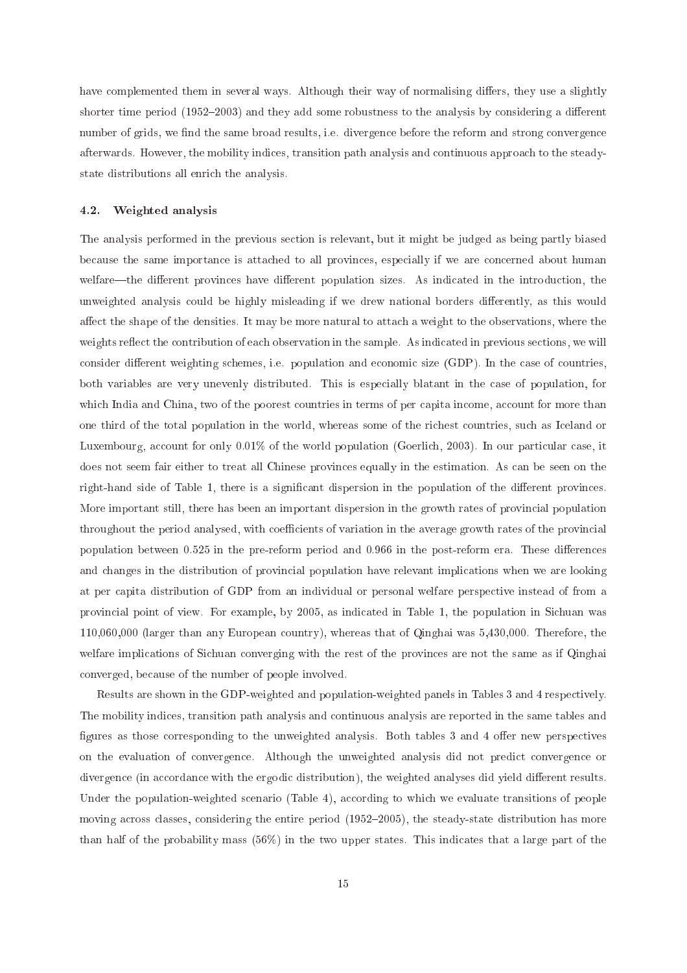have complemented them in several ways. Although their way of normalising differs, they use a slightly shorter time period  $(1952-2003)$  and they add some robustness to the analysis by considering a different number of grids, we find the same broad results, i.e. divergence before the reform and strong convergence afterwards. However, the mobility indi
es, transition path analysis and ontinuous approa
h to the steadystate distributions all enri
h the analysis.

# 4.2. Weighted analysis

The analysis performed in the previous se
tion is relevant, but it might be judged as being partly biased because the same importance is attached to all provinces, especially if we are concerned about human welfare—the different provinces have different population sizes. As indicated in the introduction, the unweighted analysis could be highly misleading if we drew national borders differently, as this would affect the shape of the densities. It may be more natural to attach a weight to the observations, where the weights reflect the contribution of each observation in the sample. As indicated in previous sections, we will consider different weighting schemes, i.e. population and economic size (GDP). In the case of countries, both variables are very unevenly distributed. This is espe
ially blatant in the ase of population, for which India and China, two of the poorest countries in terms of per capita income, account for more than one third of the total population in the world, whereas some of the richest countries, such as Iceland or Luxembourg, account for only  $0.01\%$  of the world population (Goerlich, 2003). In our particular case, it does not seem fair either to treat all Chinese provinces equally in the estimation. As can be seen on the right-hand side of Table 1, there is a significant dispersion in the population of the different provinces. More important still, there has been an important dispersion in the growth rates of provin
ial population throughout the period analysed, with coefficients of variation in the average growth rates of the provincial population between 0.525 in the pre-reform period and 0.966 in the post-reform era. These differences and changes in the distribution of provincial population have relevant implications when we are looking at per apita distribution of GDP from an individual or personal welfare perspe
tive instead of from a provincial point of view. For example, by 2005, as indicated in Table 1, the population in Sichuan was 110,060,000 (larger than any European ountry), whereas that of Qinghai was 5,430,000. Therefore, the welfare implications of Sichuan converging with the rest of the provinces are not the same as if Qinghai onverged, be
ause of the number of people involved.

Results are shown in the GDP-weighted and population-weighted panels in Tables 3 and 4 respectively. The mobility indi
es, transition path analysis and ontinuous analysis are reported in the same tables and figures as those corresponding to the unweighted analysis. Both tables 3 and 4 offer new perspectives on the evaluation of convergence. Although the unweighted analysis did not predict convergence or divergence (in accordance with the ergodic distribution), the weighted analyses did yield different results. Under the population-weighted scenario (Table 4), according to which we evaluate transitions of people moving across classes, considering the entire period (1952–2005), the steady-state distribution has more than half of the probability mass (56%) in the two upper states. This indicates that a large part of the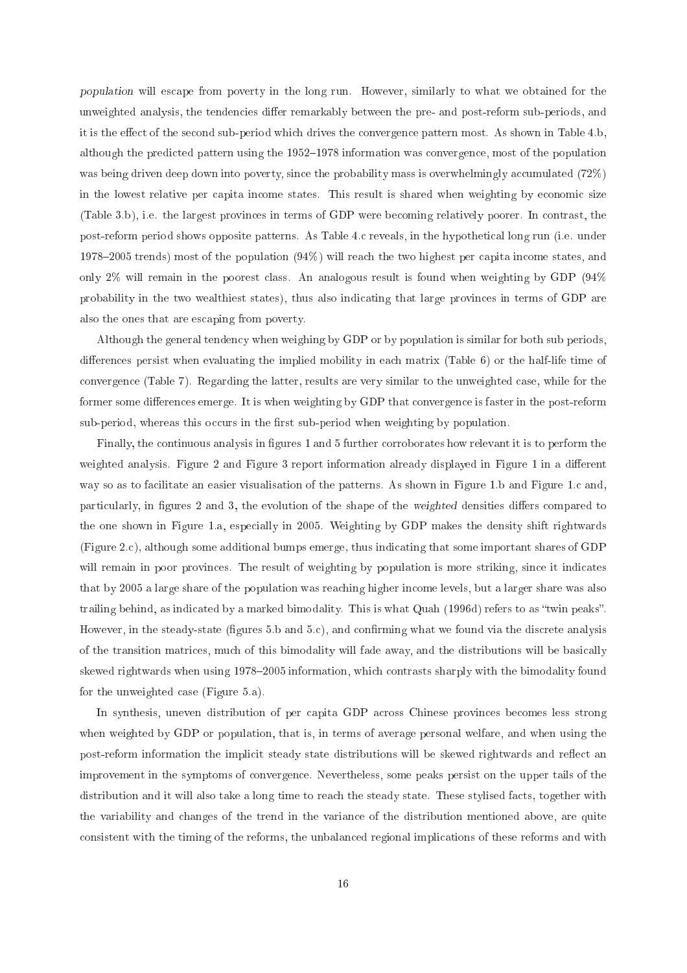population will es
ape from poverty in the long run. However, similarly to what we obtained for the unweighted analysis, the tendencies differ remarkably between the pre- and post-reform sub-periods, and it is the effect of the second sub-period which drives the convergence pattern most. As shown in Table 4.b, although the predicted pattern using the 1952–1978 information was convergence, most of the population was being driven deep down into poverty, since the probability mass is overwhelmingly accumulated (72%) in the lowest relative per capita income states. This result is shared when weighting by economic size (Table 3.b), i.e. the largest provin
es in terms of GDP were be
oming relatively poorer. In ontrast, the post-reform period shows opposite patterns. As Table 4. reveals, in the hypotheti
al long run (i.e. under 1978–2005 trends) most of the population  $(94%)$  will reach the two highest per capita income states, and only 2% will remain in the poorest lass. An analogous result is found when weighting by GDP (94% probability in the two wealthiest states), thus also indicating that large provinces in terms of GDP are also the ones that are es
aping from poverty.

Although the general tendency when weighing by GDP or by population is similar for both sub periods, differences persist when evaluating the implied mobility in each matrix (Table 6) or the half-life time of onvergen
e (Table 7). Regarding the latter, results are very similar to the unweighted ase, while for the former some differences emerge. It is when weighting by GDP that convergence is faster in the post-reform sub-period, whereas this occurs in the first sub-period when weighting by population.

Finally, the continuous analysis in figures 1 and 5 further corroborates how relevant it is to perform the weighted analysis. Figure 2 and Figure 3 report information already displayed in Figure 1 in a different way so as to facilitate an easier visualisation of the patterns. As shown in Figure 1.b and Figure 1.c and, particularly, in figures 2 and 3, the evolution of the shape of the weighted densities differs compared to the one shown in Figure 1.a, espe
ially in 2005. Weighting by GDP makes the density shift rightwards (Figure 2.
), although some additional bumps emerge, thus indi
ating that some important shares of GDP will remain in poor provinces. The result of weighting by population is more striking, since it indicates that by 2005 a large share of the population was rea
hing higher in
ome levels, but a larger share was also trailing behind, as indicated by a marked bimodality. This is what Quah (1996d) refers to as "twin peaks". However, in the steady-state (figures  $5.b$  and  $5.c$ ), and confirming what we found via the discrete analysis of the transition matri
es, mu
h of this bimodality will fade away, and the distributions will be basi
ally skewed rightwards when using 1978–2005 information, which contrasts sharply with the bimodality found for the unweighted ase (Figure 5.a).

In synthesis, uneven distribution of per capita GDP across Chinese provinces becomes less strong when weighted by GDP or population, that is, in terms of average personal welfare, and when using the post-reform information the implicit steady state distributions will be skewed rightwards and reflect an improvement in the symptoms of onvergen
e. Nevertheless, some peaks persist on the upper tails of the distribution and it will also take a long time to reach the steady state. These stylised facts, together with the variability and hanges of the trend in the varian
e of the distribution mentioned above, are quite onsistent with the timing of the reforms, the unbalan
ed regional impli
ations of these reforms and with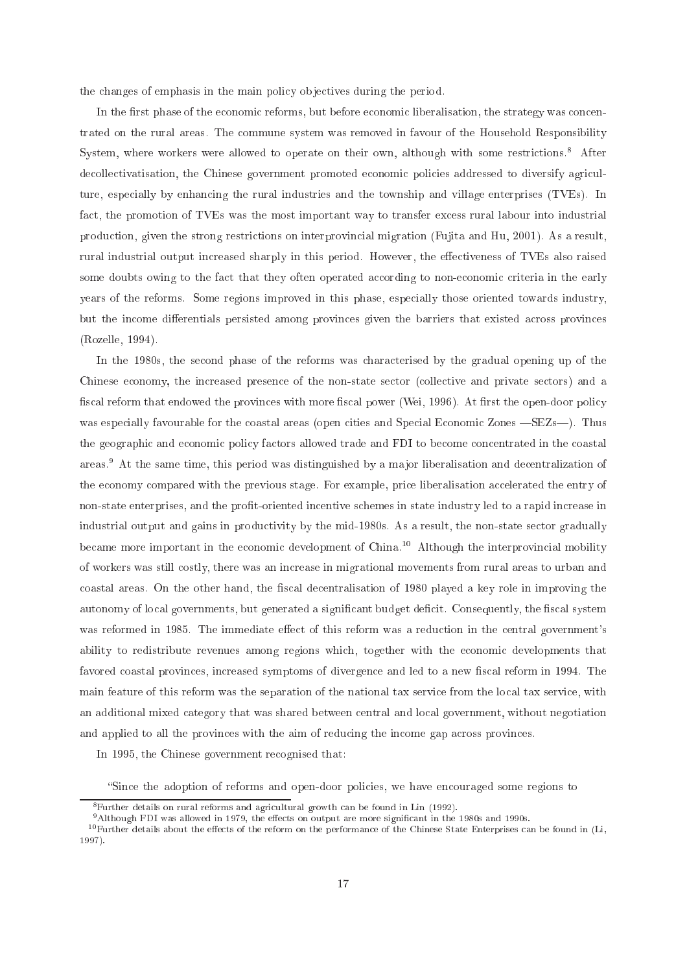the changes of emphasis in the main policy objectives during the period.

In the first phase of the economic reforms, but before economic liberalisation, the strategy was concentrated on the rural areas. The ommune system was removed in favour of the Household Responsibility System, where workers were allowed to operate on their own, although with some restrictions.<sup>8</sup> After decollectivatisation, the Chinese government promoted economic policies addressed to diversify agriculture, espe
ially by enhan
ing the rural industries and the township and village enterprises (TVEs). In fact, the promotion of TVEs was the most important way to transfer excess rural labour into industrial produ
tion, given the strong restri
tions on interprovin
ial migration (Fujita and Hu, 2001). As a result, rural industrial output increased sharply in this period. However, the effectiveness of TVEs also raised some doubts owing to the fact that they often operated according to non-economic criteria in the early years of the reforms. Some regions improved in this phase, espe
ially those oriented towards industry, but the income differentials persisted among provinces given the barriers that existed across provinces (Rozelle, 1994).

In the 1980s, the second phase of the reforms was characterised by the gradual opening up of the Chinese economy, the increased presence of the non-state sector (collective and private sectors) and a fiscal reform that endowed the provinces with more fiscal power (Wei, 1996). At first the open-door policy was especially favourable for the coastal areas (open cities and Special Economic Zones – SEZs–). Thus the geographic and economic policy factors allowed trade and FDI to become concentrated in the coastal areas.9 At the same time, this period was distinguished by a ma jor liberalisation and de
entralization of the economy compared with the previous stage. For example, price liberalisation accelerated the entry of non-state enterprises, and the profit-oriented incentive schemes in state industry led to a rapid increase in industrial output and gains in productivity by the mid-1980s. As a result, the non-state sector gradually became more important in the economic development of China.<sup>10</sup> Although the interprovincial mobility of workers was still ostly, there was an in
rease in migrational movements from rural areas to urban and coastal areas. On the other hand, the fiscal decentralisation of 1980 played a key role in improving the autonomy of local governments, but generated a significant budget deficit. Consequently, the fiscal system was reformed in 1985. The immediate effect of this reform was a reduction in the central government's ability to redistribute revenues among regions which, together with the economic developments that favored coastal provinces, increased symptoms of divergence and led to a new fiscal reform in 1994. The main feature of this reform was the separation of the national tax service from the local tax service, with an additional mixed ategory that was shared between entral and lo
al government, without negotiation and applied to all the provinces with the aim of reducing the income gap across provinces.

In 1995, the Chinese government re
ognised that:

"Since the adoption of reforms and open-door policies, we have encouraged some regions to

<sup>8</sup> Further details on rural reforms and agri
ultural growth an be found in Lin (1992).

<sup>&</sup>lt;sup>9</sup>Although FDI was allowed in 1979, the effects on output are more significant in the 1980s and 1990s.

 $10$ Further details about the effects of the reform on the performance of the Chinese State Enterprises can be found in (Li, 1997).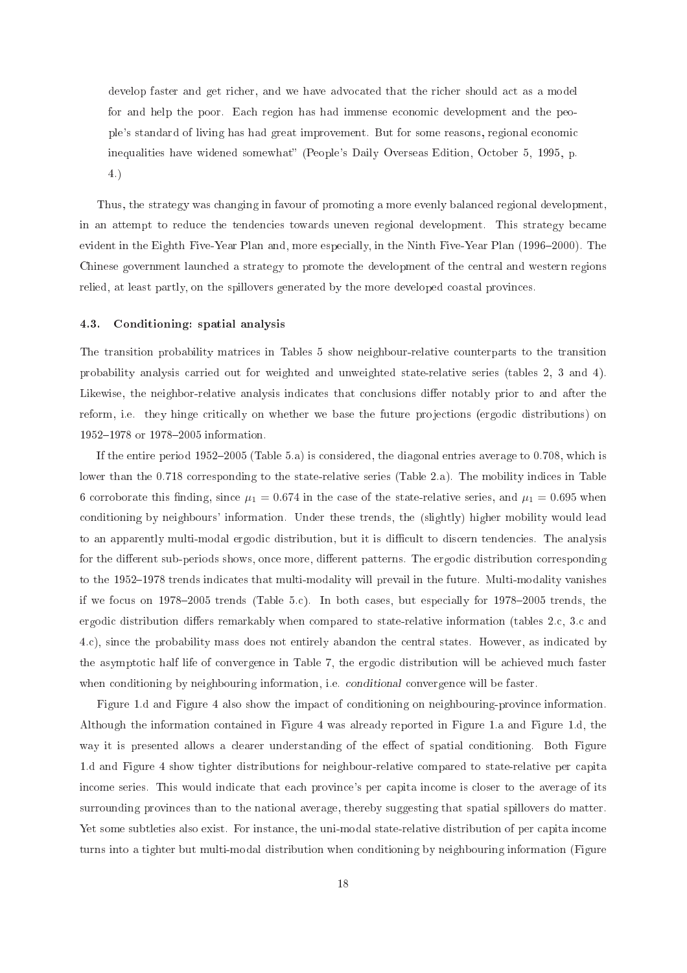develop faster and get richer, and we have advocated that the richer should act as a model for and help the poor. Each region has had immense economic development and the people's standard of living has had great improvement. But for some reasons, regional e
onomi inequalities have widened somewhat" (People's Daily Overseas Edition, October 5, 1995, p. 4.)

Thus, the strategy was hanging in favour of promoting a more evenly balan
ed regional development, in an attempt to redu
e the tenden
ies towards uneven regional development. This strategy be
ame evident in the Eighth Five-Year Plan and, more especially, in the Ninth Five-Year Plan (1996–2000). The Chinese government laun
hed a strategy to promote the development of the entral and western regions relied, at least partly, on the spillovers generated by the more developed coastal provinces.

### 4.3. Conditioning: spatial analysis

The transition probability matri
es in Tables 5 show neighbour-relative ounterparts to the transition probability analysis arried out for weighted and unweighted state-relative series (tables 2, 3 and 4). Likewise, the neighbor-relative analysis indicates that conclusions differ notably prior to and after the reform, i.e. they hinge critically on whether we base the future projections (ergodic distributions) on 1952-1978 or 1978-2005 information.

If the entire period  $1952-2005$  (Table 5.a) is considered, the diagonal entries average to 0.708, which is lower than the 0.718 corresponding to the state-relative series (Table 2.a). The mobility indices in Table 6 corroborate this finding, since  $\mu_1 = 0.674$  in the case of the state-relative series, and  $\mu_1 = 0.695$  when onditioning by neighbours' information. Under these trends, the (slightly) higher mobility would lead to an apparently multi-modal ergodic distribution, but it is difficult to discern tendencies. The analysis for the different sub-periods shows, once more, different patterns. The ergodic distribution corresponding to the 1952–1978 trends indicates that multi-modality will prevail in the future. Multi-modality vanishes if we focus on 1978–2005 trends (Table 5.c). In both cases, but especially for 1978–2005 trends, the ergodic distribution differs remarkably when compared to state-relative information (tables 2.c, 3.c and 4.
), sin
e the probability mass does not entirely abandon the entral states. However, as indi
ated by the asymptotic half life of convergence in Table 7, the ergodic distribution will be achieved much faster when conditioning by neighbouring information, *i.e. conditional* convergence will be faster.

Figure 1.d and Figure 4 also show the impact of conditioning on neighbouring-province information. Although the information ontained in Figure 4 was already reported in Figure 1.a and Figure 1.d, the way it is presented allows a clearer understanding of the effect of spatial conditioning. Both Figure 1.d and Figure 4 show tighter distributions for neighbour-relative ompared to state-relative per apita in
ome series. This would indi
ate that ea
h provin
e's per apita in
ome is loser to the average of its surrounding provin
es than to the national average, thereby suggesting that spatial spillovers do matter. Yet some subtleties also exist. For instance, the uni-modal state-relative distribution of per capita income turns into a tighter but multi-modal distribution when onditioning by neighbouring information (Figure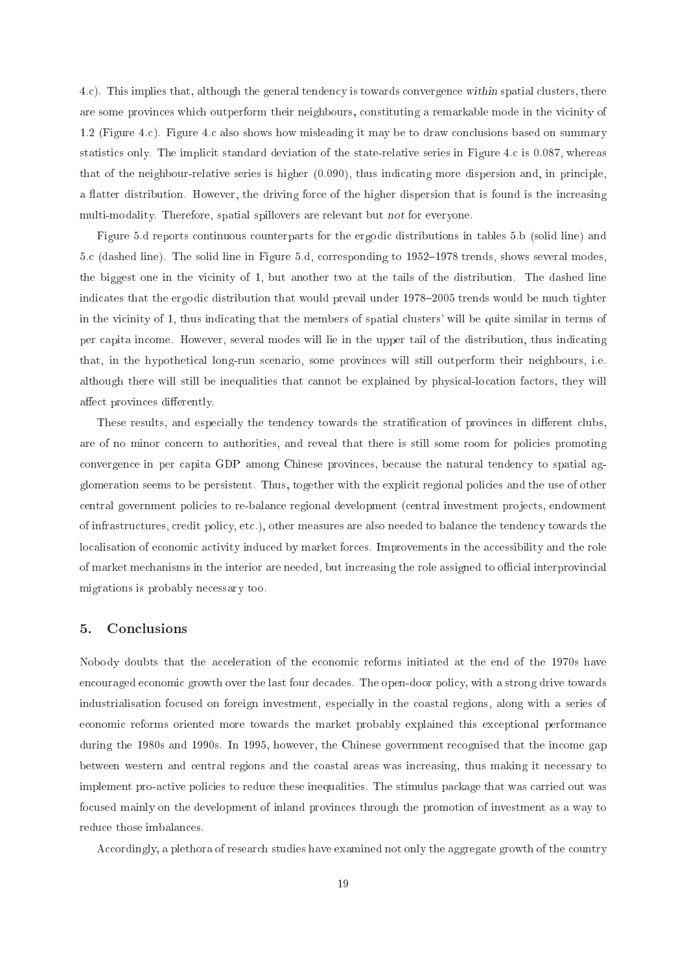4.
). This implies that, although the general tenden
y is towards onvergen
e within spatial lusters, there are some provinces which outperform their neighbours, constituting a remarkable mode in the vicinity of 1.2 (Figure 4.c). Figure 4.c also shows how misleading it may be to draw conclusions based on summary statistics only. The implicit standard deviation of the state-relative series in Figure 4.c is 0.087, whereas that of the neighbour-relative series is higher  $(0.090)$ , thus indicating more dispersion and, in principle, a flatter distribution. However, the driving force of the higher dispersion that is found is the increasing multi-modality. Therefore, spatial spillovers are relevant but not for everyone.

Figure 5.d reports ontinuous ounterparts for the ergodi distributions in tables 5.b (solid line) and 5.c (dashed line). The solid line in Figure 5.d, corresponding to 1952–1978 trends, shows several modes, the biggest one in the vicinity of 1, but another two at the tails of the distribution. The dashed line indicates that the ergodic distribution that would prevail under 1978–2005 trends would be much tighter in the vicinity of 1, thus indicating that the members of spatial clusters' will be quite similar in terms of per apita in
ome. However, several modes will lie in the upper tail of the distribution, thus indi
ating that, in the hypotheti
al long-run s
enario, some provin
es will still outperform their neighbours, i.e. although there will still be inequalities that cannot be explained by physical-location factors, they will affect provinces differently.

These results, and especially the tendency towards the stratification of provinces in different clubs, are of no minor concern to authorities, and reveal that there is still some room for policies promoting convergence in per capita GDP among Chinese provinces, because the natural tendency to spatial agglomeration seems to be persistent. Thus, together with the expli
it regional poli
ies and the use of other central government policies to re-balance regional development (central investment projects, endowment of infrastructures, credit policy, etc.), other measures are also needed to balance the tendency towards the localisation of economic activity induced by market forces. Improvements in the accessibility and the role of market mechanisms in the interior are needed, but increasing the role assigned to official interprovincial migrations is probably ne
essary too.

#### 5. Conclusions

Nobody doubts that the acceleration of the economic reforms initiated at the end of the 1970s have encouraged economic growth over the last four decades. The open-door policy, with a strong drive towards industrialisation focused on foreign investment, especially in the coastal regions, along with a series of economic reforms oriented more towards the market probably explained this exceptional performance during the 1980s and 1990s. In 1995, however, the Chinese government recognised that the income gap between western and central regions and the coastal areas was increasing, thus making it necessary to implement pro-active policies to reduce these inequalities. The stimulus package that was carried out was focused mainly on the development of inland provinces through the promotion of investment as a way to redu
e those imbalan
es.

Accordingly, a plethora of research studies have examined not only the aggregate growth of the country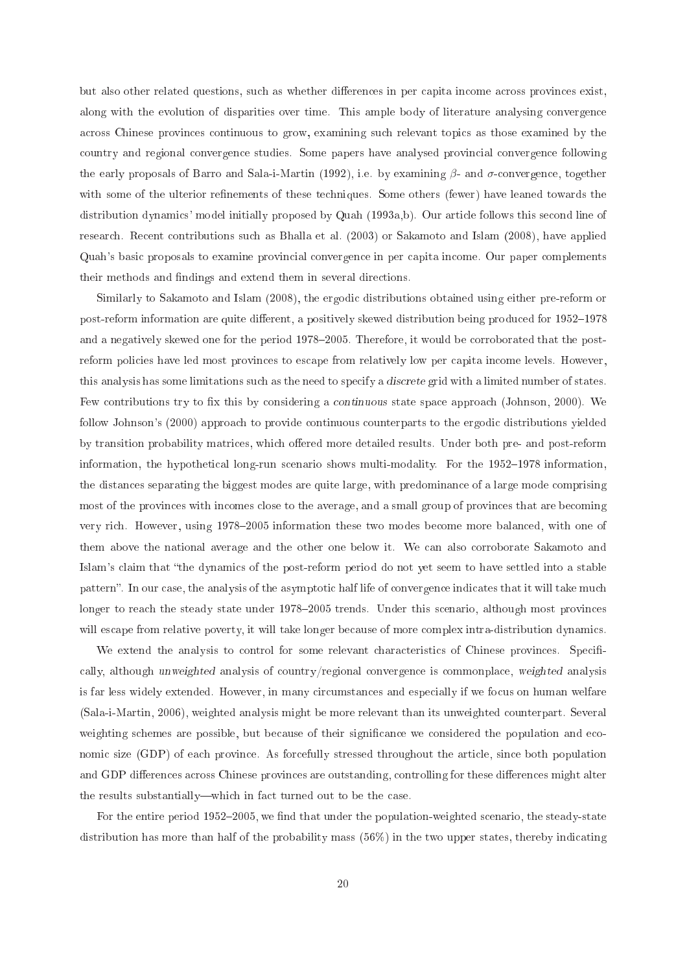but also other related questions, such as whether differences in per capita income across provinces exist, along with the evolution of disparities over time. This ample body of literature analysing convergence across Chinese provinces continuous to grow, examining such relevant topics as those examined by the ountry and regional onvergen
e studies. Some papers have analysed provin
ial onvergen
e following the early proposals of Barro and Sala-i-Martin (1992), i.e. by examining  $\beta$ - and  $\sigma$ -convergence, together with some of the ulterior refinements of these techniques. Some others (fewer) have leaned towards the distribution dynamics' model initially proposed by Quah (1993a,b). Our article follows this second line of resear
h. Re
ent ontributions su
h as Bhalla et al. (2003) or Sakamoto and Islam (2008), have applied Quah's basi proposals to examine provin
ial onvergen
e in per apita in
ome. Our paper omplements their methods and findings and extend them in several directions.

Similarly to Sakamoto and Islam (2008), the ergodic distributions obtained using either pre-reform or post-reform information are quite different, a positively skewed distribution being produced for 1952–1978 and a negatively skewed one for the period 1978–2005. Therefore, it would be corroborated that the postreform policies have led most provinces to escape from relatively low per capita income levels. However, this analysis has some limitations such as the need to specify a discrete grid with a limited number of states. Few contributions try to fix this by considering a *continuous* state space approach (Johnson, 2000). We follow Johnson's (2000) approach to provide continuous counterparts to the ergodic distributions yielded by transition probability matrices, which offered more detailed results. Under both pre- and post-reform information, the hypothetical long-run scenario shows multi-modality. For the 1952–1978 information, the distan
es separating the biggest modes are quite large, with predominan
e of a large mode omprising most of the provinces with incomes close to the average, and a small group of provinces that are becoming very rich. However, using 1978–2005 information these two modes become more balanced, with one of them above the national average and the other one below it. We an also orroborate Sakamoto and Islam's claim that "the dynamics of the post-reform period do not yet seem to have settled into a stable pattern". In our case, the analysis of the asymptotic half life of convergence indicates that it will take much longer to reach the steady state under 1978–2005 trends. Under this scenario, although most provinces will escape from relative poverty, it will take longer because of more complex intra-distribution dynamics.

We extend the analysis to control for some relevant characteristics of Chinese provinces. Specifially, although unweighted analysis of ountry/regional onvergen
e is ommonpla
e, weighted analysis is far less widely extended. However, in many circumstances and especially if we focus on human welfare (Sala-i-Martin, 2006), weighted analysis might be more relevant than its unweighted ounterpart. Several weighting schemes are possible, but because of their significance we considered the population and economic size (GDP) of each province. As forcefully stressed throughout the article, since both population and GDP differences across Chinese provinces are outstanding, controlling for these differences might alter the results substantially—which in fact turned out to be the case.

For the entire period 1952–2005, we find that under the population-weighted scenario, the steady-state distribution has more than half of the probability mass  $(56%)$  in the two upper states, thereby indicating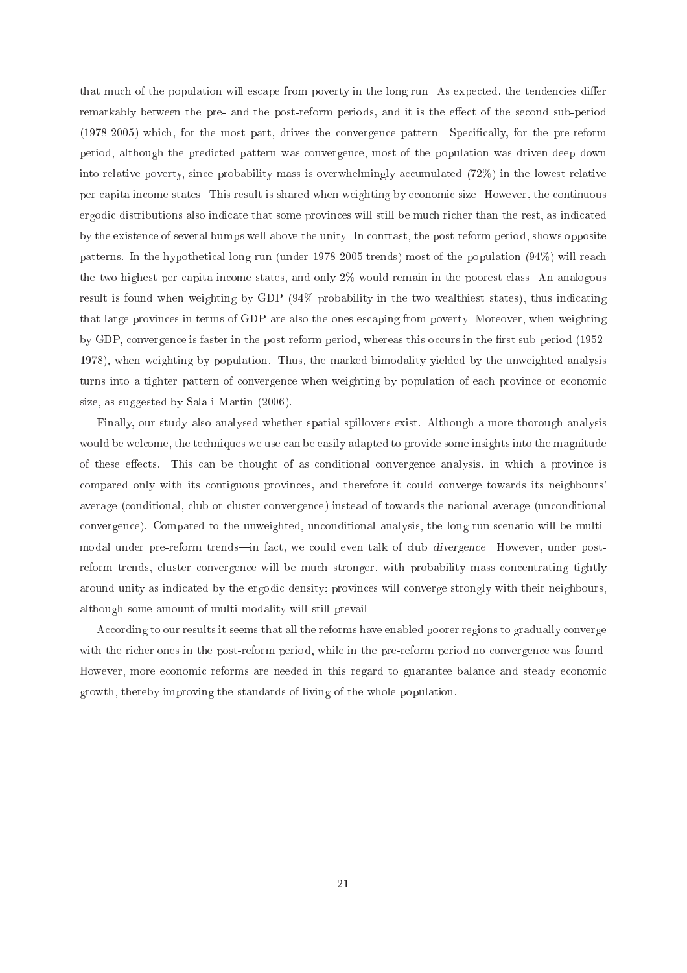that much of the population will escape from poverty in the long run. As expected, the tendencies differ remarkably between the pre- and the post-reform periods, and it is the effect of the second sub-period (1978-2005) which, for the most part, drives the convergence pattern. Specifically, for the pre-reform period, although the predi
ted pattern was onvergen
e, most of the population was driven deep down into relative poverty, since probability mass is overwhelmingly accumulated (72%) in the lowest relative per apita in
ome states. This result is shared when weighting by e
onomi size. However, the ontinuous ergodi distributions also indi
ate that some provin
es will still be mu
h ri
her than the rest, as indi
ated by the existen
e of several bumps well above the unity. In ontrast, the post-reform period, shows opposite patterns. In the hypotheti
al long run (under 1978-2005 trends) most of the population (94%) will rea
h the two highest per capita income states, and only 2% would remain in the poorest class. An analogous result is found when weighting by GDP  $(94\% \text{ probability in the two wealthiest states})$ , thus indicating that large provin
es in terms of GDP are also the ones es
aping from poverty. Moreover, when weighting by GDP, convergence is faster in the post-reform period, whereas this occurs in the first sub-period (1952-1978), when weighting by population. Thus, the marked bimodality yielded by the unweighted analysis turns into a tighter pattern of convergence when weighting by population of each province or economic size, as suggested by Sala-i-Martin (2006).

Finally, our study also analysed whether spatial spillovers exist. Although a more thorough analysis would be welcome, the techniques we use can be easily adapted to provide some insights into the magnitude of these effects. This can be thought of as conditional convergence analysis, in which a province is ompared only with its ontiguous provin
es, and therefore it ould onverge towards its neighbours' average (conditional, club or cluster convergence) instead of towards the national average (unconditional convergence). Compared to the unweighted, unconditional analysis, the long-run scenario will be multimodal under pre-reform trends—in fact, we could even talk of club *divergence*. However, under postreform trends, cluster convergence will be much stronger, with probability mass concentrating tightly around unity as indi
ated by the ergodi density; provin
es will onverge strongly with their neighbours, although some amount of multi-modality will still prevail.

According to our results it seems that all the reforms have enabled poorer regions to gradually converge with the richer ones in the post-reform period, while in the pre-reform period no convergence was found. However, more economic reforms are needed in this regard to guarantee balance and steady economic growth, thereby improving the standards of living of the whole population.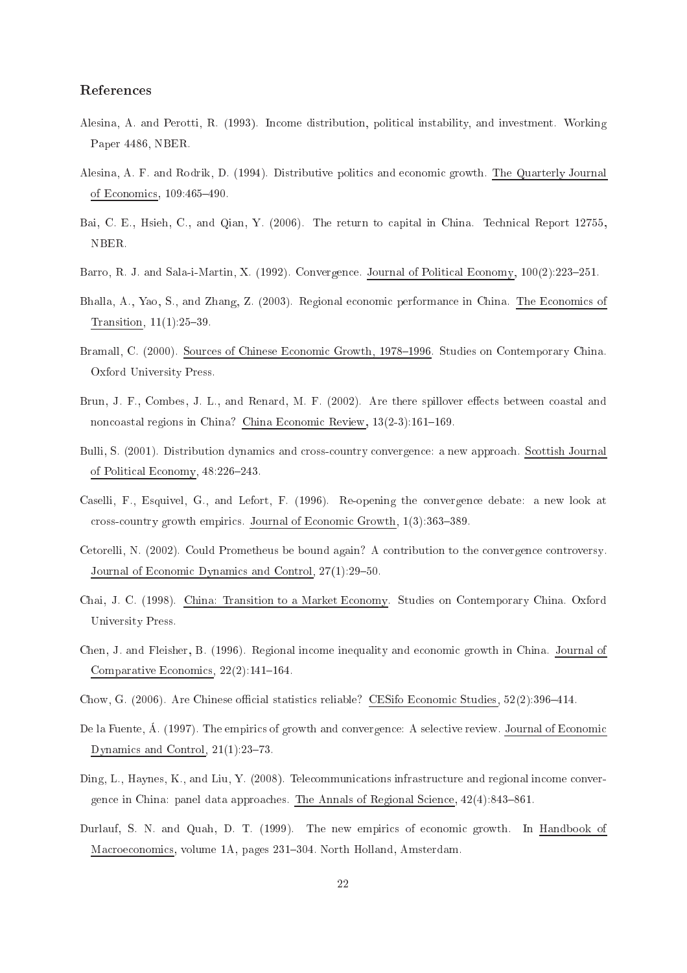# Referen
es

- Alesina, A. and Perotti, R. (1993). In
ome distribution, politi
al instability, and investment. Working Paper 4486, NBER.
- Alesina, A. F. and Rodrik, D. (1994). Distributive politics and economic growth. The Quarterly Journal of Economics, 109:465-490.
- Bai, C. E., Hsieh, C., and Qian, Y. (2006). The return to capital in China. Technical Report 12755, NBER.
- Barro, R. J. and Sala-i-Martin, X. (1992). Convergence. Journal of Political Economy, 100(2):223-251.
- Bhalla, A., Yao, S., and Zhang, Z. (2003). Regional economic performance in China. The Economics of Transition,  $11(1):25-39$ .
- Bramall, C. (2000). Sources of Chinese Economic Growth, 1978–1996. Studies on Contemporary China. Oxford University Press.
- Brun, J. F., Combes, J. L., and Renard, M. F. (2002). Are there spillover effects between coastal and noncoastal regions in China? China Economic Review,  $13(2-3):161-169$ .
- Bulli, S. (2001). Distribution dynamics and cross-country convergence: a new approach. Scottish Journal of Political Economy, 48:226-243.
- Caselli, F., Esquivel, G., and Lefort, F. (1996). Re-opening the onvergen
e debate: a new look at cross-country growth empirics. Journal of Economic Growth,  $1(3)$ :363–389.
- Cetorelli, N. (2002). Could Prometheus be bound again? A contribution to the convergence controversy. Journal of Economic Dynamics and Control, 27(1):29-50.
- Chai, J. C. (1998). China: Transition to <sup>a</sup> Market E
onomy. Studies on Contemporary China. Oxford University Press.
- Chen, J. and Fleisher, B. (1996). Regional in
ome inequality and e
onomi growth in China. Journal of Comparative Economics,  $22(2):141-164$ .
- Chow, G. (2006). Are Chinese official statistics reliable? CESifo Economic Studies, 52(2):396–414.
- De la Fuente, Á. (1997). The empirics of growth and convergence: A selective review. Journal of Economic Dynamics and Control,  $21(1):23-73$ .
- Ding, L., Haynes, K., and Liu, Y. (2008). Telecommunications infrastructure and regional income convergence in China: panel data approaches. The Annals of Regional Science,  $42(4)$ :843–861.
- Durlauf, S. N. and Quah, D. T. (1999). The new empirics of economic growth. In Handbook of Macroeconomics, volume 1A, pages 231-304. North Holland, Amsterdam.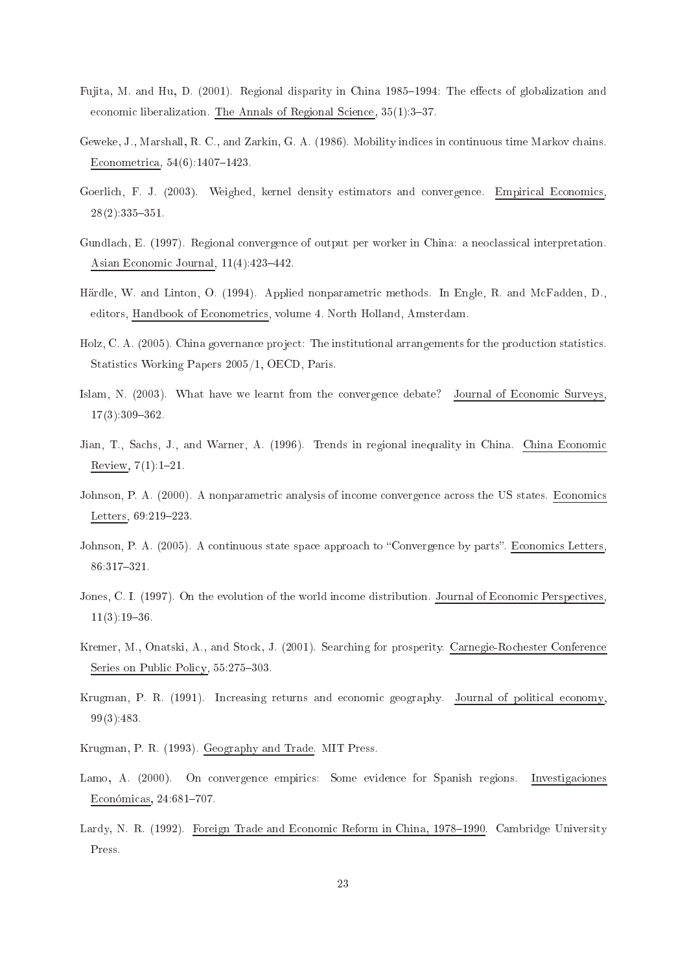- Fujita, M. and Hu, D. (2001). Regional disparity in China 1985–1994: The effects of globalization and economic liberalization. The Annals of Regional Science,  $35(1)$ :  $3-37$ .
- Geweke, J., Marshall, R. C., and Zarkin, G. A. (1986). Mobility indi
es in ontinuous time Markov hains. Econometrica, 54(6):1407-1423.
- Goerlich, F. J. (2003). Weighed, kernel density estimators and convergence. Empirical Economics,  $28(2):335-351.$
- Gundla
h, E. (1997). Regional onvergen
e of output per worker in China: a neo
lassi
al interpretation. Asian Economic Journal,  $11(4):423-442$ .
- Härdle, W. and Linton, O. (1994). Applied nonparametri methods. In Engle, R. and M
Fadden, D., editors, Handbook of Econometrics, volume 4. North Holland, Amsterdam.
- Holz, C. A. (2005). China governance project: The institutional arrangements for the production statistics. Statisti
s Working Papers 2005/1, OECD, Paris.
- Islam, N. (2003). What have we learnt from the convergence debate? Journal of Economic Surveys.  $17(3):309-362.$
- Jian, T., Sachs, J., and Warner, A. (1996). Trends in regional inequality in China. China Economic Review,  $7(1):1-21$ .
- Johnson, P. A. (2000). A nonparametric analysis of income convergence across the US states. Economics Letters, 69:219-223.
- Johnson, P. A. (2005). A continuous state space approach to "Convergence by parts". Economics Letters,  $86:317 - 321$ .
- Jones, C. I. (1997). On the evolution of the world income distribution. Journal of Economic Perspectives,  $11(3):19-36.$
- Kremer, M., Onatski, A., and Stock, J. (2001). Searching for prosperity. Carnegie-Rochester Conference Series on Public Policy, 55:275-303.
- Krugman, P. R. (1991). Increasing returns and economic geography. Journal of political economy, 99(3):483.
- Krugman, P. R. (1993). Geography and Trade. MIT Press.
- Lamo, A. (2000). On convergence empirics: Some evidence for Spanish regions. Investigaciones Económicas, 24:681-707.
- Lardy, N. R. (1992). Foreign Trade and Economic Reform in China, 1978–1990. Cambridge University Press.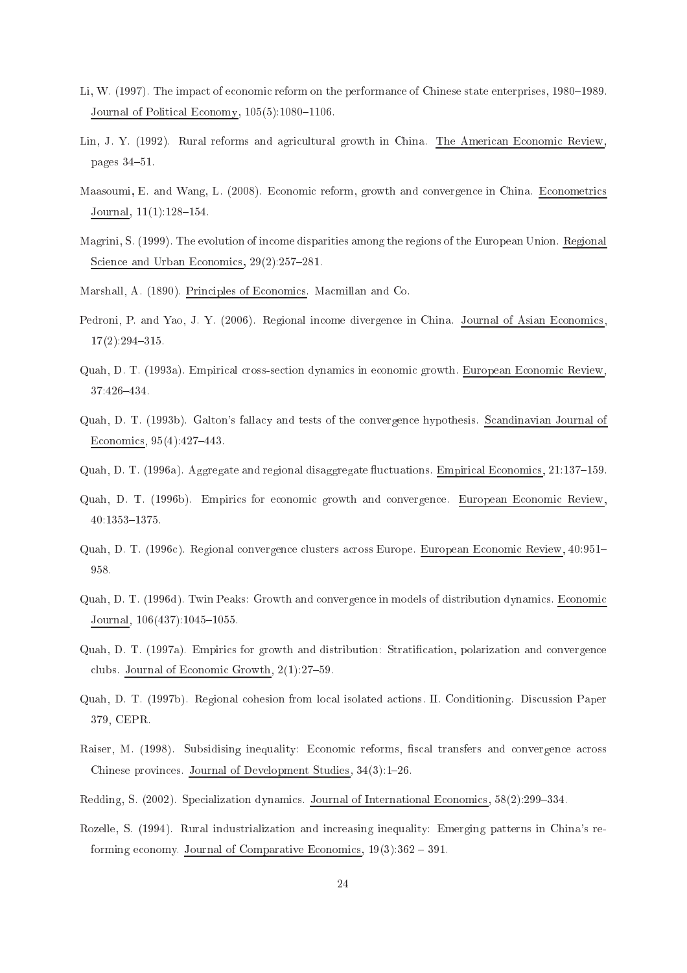- Li, W. (1997). The impact of economic reform on the performance of Chinese state enterprises, 1980–1989. Journal of Political Economy,  $105(5)$ : 1080-1106.
- Lin, J. Y. (1992). Rural reforms and agricultural growth in China. The American Economic Review. pages  $34-51$ .
- Maasoumi, E. and Wang, L. (2008). Economic reform, growth and convergence in China. Econometrics Journal,  $11(1):128-154$ .
- Magrini, S. (1999). The evolution of in
ome disparities among the regions of the European Union. Regional Science and Urban Economics, 29(2):257-281.
- Marshall, A. (1890). Principles of Economics. Macmillan and Co.
- Pedroni, P. and Yao, J. Y. (2006). Regional income divergence in China. Journal of Asian Economics,  $17(2):294 - 315.$
- Quah, D. T. (1993a). Empirical cross-section dynamics in economic growth. European Economic Review, 37:426-434.
- Quah, D. T. (1993b). Galton's falla
y and tests of the onvergen
e hypothesis. S
andinavian Journal of Economics, 95(4):427-443.
- Quah, D. T. (1996a). Aggregate and regional disaggregate fluctuations. Empirical Economics, 21:137–159.
- Quah, D. T. (1996b). Empirics for economic growth and convergence. European Economic Review, 40:1353-1375.
- Quah, D. T. (1996c). Regional convergence clusters across Europe. European Economic Review, 40:951– 958.
- Quah, D. T. (1996d). Twin Peaks: Growth and convergence in models of distribution dynamics. Economic Journal,  $106(437):1045-1055$ .
- Quah, D. T. (1997a). Empirics for growth and distribution: Stratification, polarization and convergence clubs. Journal of Economic Growth,  $2(1)$ :27-59.
- Quah, D. T. (1997b). Regional ohesion from lo
al isolated a
tions. II. Conditioning. Dis
ussion Paper 379, CEPR.
- Raiser, M. (1998). Subsidising inequality: Economic reforms, fiscal transfers and convergence across Chinese provinces. Journal of Development Studies,  $34(3):1-26$ .
- Redding, S. (2002). Specialization dynamics. Journal of International Economics,  $58(2):299-334$ .
- Rozelle, S. (1994). Rural industrialization and increasing inequality: Emerging patterns in China's reforming economy. Journal of Comparative Economics,  $19(3)$ :  $362 - 391$ .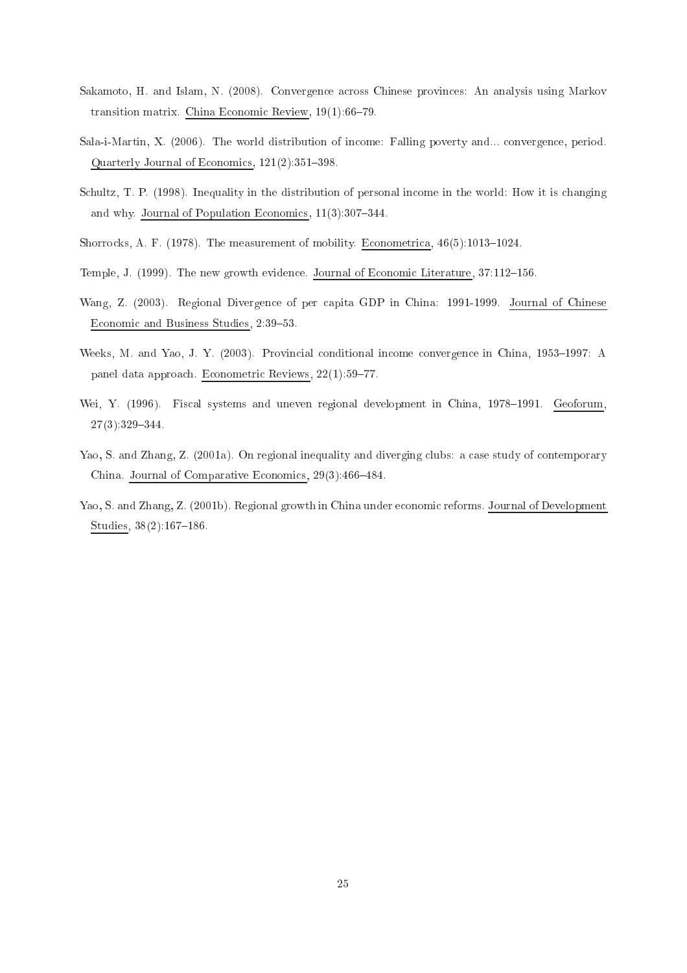- Sakamoto, H. and Islam, N. (2008). Convergence across Chinese provinces: An analysis using Markov transition matrix. China Economic Review,  $19(1):66-79$ .
- Sala-i-Martin, X. (2006). The world distribution of in
ome: Falling poverty and... onvergen
e, period. Quarterly Journal of Economics,  $121(2):351-398$ .
- Schultz, T. P. (1998). Inequality in the distribution of personal income in the world: How it is changing and why. Journal of Population Economics,  $11(3):307-344$ .
- Shorrocks, A. F. (1978). The measurement of mobility. Econometrica,  $46(5):1013-1024$ .
- Temple, J. (1999). The new growth evidence. Journal of Economic Literature, 37:112-156.
- Wang, Z. (2003). Regional Divergen
e of per apita GDP in China: 1991-1999. Journal of Chinese Economic and Business Studies, 2:39-53.
- Weeks, M. and Yao, J. Y. (2003). Provincial conditional income convergence in China, 1953–1997: A panel data approach. Econometric Reviews, 22(1):59-77.
- Wei, Y. (1996). Fiscal systems and uneven regional development in China, 1978–1991. Geoforum,  $27(3):329 - 344.$
- Yao, S. and Zhang, Z. (2001a). On regional inequality and diverging clubs: a case study of contemporary China. Journal of Comparative Economics, 29(3):466-484.
- Yao, S. and Zhang, Z. (2001b). Regional growth in China under economic reforms. Journal of Development Studies,  $38(2):167-186$ .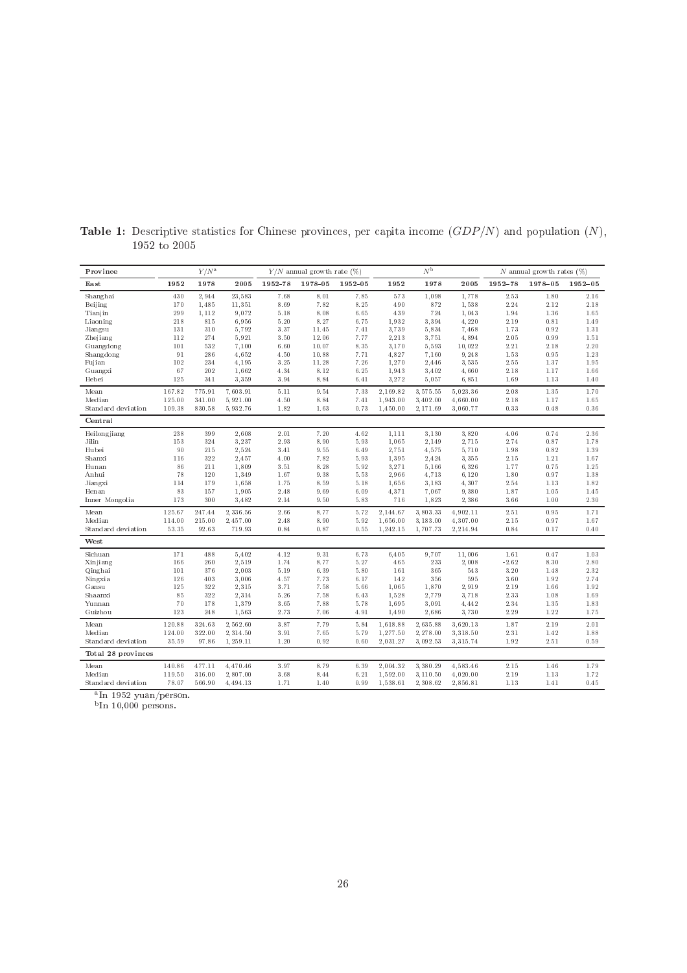| Province                             |        | $Y/N^{\rm a}$ |          |         | $Y/N$ annual growth rate $(\%)$ |         |          | $N^{\rm b}$ |          |          | $N$ annual growth rates $(\%)$ |             |
|--------------------------------------|--------|---------------|----------|---------|---------------------------------|---------|----------|-------------|----------|----------|--------------------------------|-------------|
| East                                 | 1952   | 1978          | 2005     | 1952-78 | 1978-05                         | 1952-05 | 1952     | 1978        | 2005     | 1952-78  | 1978-05                        | $1952 - 05$ |
| Shanghai                             | 430    | 2,944         | 23,583   | 7.68    | 8.01                            | 7.85    | 573      | 1,098       | 1,778    | 2.53     | 1.80                           | 2.16        |
| Beijing                              | 170    | 1,485         | 11,351   | 8.69    | 7.82                            | 8.25    | 490      | 872         | 1,538    | 2.24     | 2.12                           | 2.18        |
| Tianjin                              | 299    | 1,112         | 9,072    | 5.18    | 8.08                            | 6.65    | 439      | 724         | 1,043    | 1.94     | 1.36                           | 1.65        |
| Liaoning                             | 218    | 815           | 6,956    | 5.20    | 8.27                            | 6.75    | 1,932    | 3,394       | 4,220    | 2.19     | 0.81                           | 1.49        |
| Jiangsu                              | 131    | 310           | 5,792    | 3.37    | 11.45                           | 7.41    | 3,739    | 5,834       | 7,468    | 1.73     | 0.92                           | 1.31        |
| Zhejiang                             | 112    | 274           | 5,921    | 3.50    | 12.06                           | 7.77    | 2,213    | 3,751       | 4,894    | $2.05\,$ | 0.99                           | 1.51        |
| Guangdong                            | 101    | 532           | 7,100    | 6.60    | 10.07                           | 8.35    | 3,170    | 5,593       | 10,022   | 2.21     | 2.18                           | $2.20\,$    |
| Shangdong                            | 91     | 286           | 4,652    | 4.50    | 10.88                           | 7.71    | 4,827    | 7,160       | 9,248    | 1.53     | 0.95                           | 1.23        |
| Fujian                               | 102    | 234           | 4,195    | 3.25    | 11.28                           | 7.26    | 1,270    | 2,446       | 3,535    | 2.55     | 1.37                           | 1.95        |
| Guangxi                              | 67     | 202           | 1,662    | 4.34    | 8.12                            | 6.25    | 1,943    | 3,402       | 4,660    | 2.18     | 1.17                           | 1.66        |
| Hebei                                | 125    | 341           | 3,359    | 3.94    | 8.84                            | 6.41    | 3,272    | 5,057       | 6,851    | 1.69     | 1.13                           | 1.40        |
| Mean                                 | 167.82 | 775.91        | 7,603.91 | 5.11    | 9.54                            | 7.33    | 2,169.82 | 3,575.55    | 5,023.36 | 2.08     | 1.35                           | 1.70        |
| Median                               | 125.00 | 341.00        | 5,921.00 | 4.50    | 8.84                            | 7.41    | 1,943.00 | 3,402.00    | 4,660.00 | 2.18     | 1.17                           | 1.65        |
| Standard deviation                   | 109.38 | 830.58        | 5,932.76 | 1.82    | 1.63                            | 0.73    | 1,450.00 | 2,171.69    | 3,060.77 | 0.33     | 0.48                           | 0.36        |
| Central                              |        |               |          |         |                                 |         |          |             |          |          |                                |             |
| Heilongjiang                         | 238    | 399           | 2,608    | 2.01    | 7.20                            | 4.62    | 1,111    | 3,130       | 3,820    | 4.06     | 0.74                           | 2.36        |
| Jilin                                | 153    | 324           | 3,237    | 2.93    | 8.90                            | 5.93    | 1,065    | 2,149       | 2,715    | 2.74     | 0.87                           | 1.78        |
| Hubei                                | 90     | 215           | 2,524    | 3.41    | 9.55                            | 6.49    | 2,751    | 4,575       | 5,710    | 1.98     | 0.82                           | 1.39        |
| Shanxi                               | 116    | 322           | 2,457    | 4.00    | 7.82                            | 5.93    | 1,395    | 2,424       | 3,355    | 2.15     | 1.21                           | 1.67        |
| Hunan                                | 86     | 211           | 1,809    | 3.51    | 8.28                            | 5.92    | 3,271    | 5,166       | 6,326    | 1.77     | 0.75                           | 1.25        |
| Anhui                                | 78     | 120           | 1,349    | 1.67    | 9.38                            | 5.53    | 2,966    | 4,713       | 6,120    | 1.80     | 0.97                           | 1.38        |
| Jiangxi                              | 114    | 179           | 1,658    | 1.75    | 8.59                            | 5.18    | 1,656    | 3,183       | 4,307    | 2.54     | 1.13                           | 1.82        |
| Henan                                | 83     | 157           | 1,905    | 2.48    | 9.69                            | 6.09    | 4,371    | 7,067       | 9,380    | 1.87     | 1.05                           | 1.45        |
| Inner Mongolia                       | 173    | 300           | 3,482    | 2.14    | 9.50                            | 5.83    | 716      | 1,823       | 2,386    | 3.66     | 1.00                           | 2.30        |
| Mean                                 | 125.67 | 247.44        | 2,336.56 | 2.66    | 8.77                            | 5.72    | 2,144.67 | 3,803.33    | 4,902.11 | 2.51     | 0.95                           | 1.71        |
| Median                               | 114.00 | 215.00        | 2,457.00 | 2.48    | 8.90                            | 5.92    | 1,656.00 | 3,183.00    | 4,307.00 | $2.1\,5$ | 0.97                           | 1.67        |
| Standard deviation                   | 53.35  | 92.63         | 719.93   | 0.84    | 0.87                            | 0.55    | 1,242.15 | 1,707.73    | 2,214.94 | 0.84     | 0.17                           | 0.40        |
| West                                 |        |               |          |         |                                 |         |          |             |          |          |                                |             |
| Sichuan                              | 171    | 488           | 5,402    | 4.12    | 9.31                            | 6.73    | 6,405    | 9,707       | 11,006   | 1.61     | 0.47                           | 1.03        |
| Xinjiang                             | 166    | 260           | 2,519    | 1.74    | 8.77                            | 5.27    | 465      | 233         | 2,008    | $-2.62$  | 8.30                           | 2.80        |
| Qinghai                              | 101    | 376           | 2,003    | 5.19    | 6.39                            | 5.80    | 161      | 365         | 543      | 3.20     | 1.48                           | 2.32        |
| Ningxia                              | 126    | 403           | 3,006    | 4.57    | 7.73                            | 6.17    | 142      | 356         | 595      | 3.60     | 1.92                           | 2.74        |
| Gansu                                | 125    | 322           | 2,315    | 3.71    | 7.58                            | 5.66    | 1,065    | 1,870       | 2,919    | 2.19     | 1.66                           | 1.92        |
| Shaanxi                              | 85     | 322           | 2,314    | 5.26    | 7.58                            | 6.43    | 1,528    | 2,779       | 3,718    | 2.33     | 1.08                           | 1.69        |
| Yunnan                               | 70     | 178           | 1,379    | 3.65    | 7.88                            | 5.78    | 1,695    | 3,091       | 4,442    | 2.34     | 1.35                           | 1.83        |
| Guizhou                              | 123    | 248           | 1,563    | 2.73    | 7.06                            | 4.91    | 1,490    | 2,686       | 3,730    | $2.29\,$ | 1.22                           | 1.75        |
| Mean                                 | 120.88 | 324.63        | 2,562.60 | 3.87    | 7.79                            | 5.84    | 1,618.88 | 2,635.88    | 3,620.13 | 1.87     | 2.19                           | 2.01        |
| Median                               | 124.00 | 322.00        | 2,314.50 | 3.91    | 7.65                            | 5.79    | 1,277.50 | 2,278.00    | 3,318.50 | 2.31     | 1.42                           | 1.88        |
| Standard deviation                   | 35.59  | 97.86         | 1,259.11 | 1.20    | 0.92                            | 0.60    | 2,031.27 | 3,092.53    | 3,315.74 | 1.92     | 2.51                           | 0.59        |
| Total 28 provinces                   |        |               |          |         |                                 |         |          |             |          |          |                                |             |
| Mean                                 | 140.86 | 477.11        | 4,470.46 | 3.97    | 8.79                            | 6.39    | 2,004.32 | 3,380.29    | 4,583.46 | 2.15     | 1.46                           | 1.79        |
| Median                               | 119.50 | 316.00        | 2,807.00 | 3.68    | 8.44                            | 6.21    | 1,592.00 | 3,110.50    | 4,020.00 | 2.19     | 1.13                           | 1.72        |
| Standard deviation                   | 78.07  | 566.90        | 4,494.13 | 1.71    | 1.40                            | 0.99    | 1,538.61 | 2,308.62    | 2,856.81 | 1.13     | 1.41                           | 0.45        |
| $8In$ 1059 $\ldots$ on $\ell$ powers |        |               |          |         |                                 |         |          |             |          |          |                                |             |

**Table 1:** Descriptive statistics for Chinese provinces, per capita income  $(GDP/N)$  and population  $(N)$ ,

-in 1952 yuan/ person.<br><sup>b</sup>In 10,000 persons.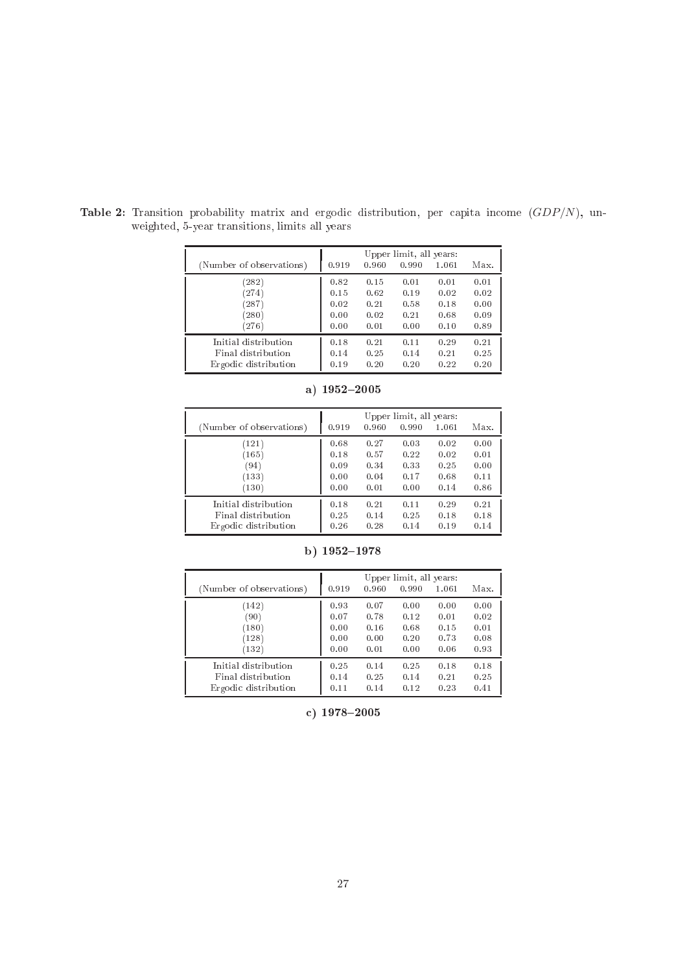| (Number of observations) | 0.919 | 0.960 | Upper limit, all years:<br>0.990 | 1.061 | Max. |
|--------------------------|-------|-------|----------------------------------|-------|------|
| (282)                    | 0.82  | 0.15  | 0.01                             | 0.01  | 0.01 |
| (274)                    | 0.15  | 0.62  | 0.19                             | 0.02  | 0.02 |
| (287)                    | 0.02  | 0.21  | 0.58                             | 0.18  | 0.00 |
| (280)                    | 0.00  | 0.02  | 0.21                             | 0.68  | 0.09 |
| (276)                    | 0.00  | 0.01  | 0.00                             | 0.10  | 0.89 |
| Initial distribution     | 0.18  | 0.21  | 0.11                             | 0.29  | 0.21 |
| Final distribution       | 0.14  | 0.25  | 0.14                             | 0.21  | 0.25 |
| Ergodic distribution     | 0.19  | 0.20  | 0.20                             | 0.22  | 0.20 |

Table 2: Transition probability matrix and ergodic distribution, per capita income  $(GDP/N)$ , unweighted, 5-year transitions, limits all years

| (Number of observations) | 0.919 | 0.960 | Upper limit, all years:<br>0.990 | 1.061 | Max. |
|--------------------------|-------|-------|----------------------------------|-------|------|
| (121)                    | 0.68  | 0.27  | 0.03                             | 0.02  | 0.00 |
| (165)                    | 0.18  | 0.57  | 0.22                             | 0.02  | 0.01 |
| (94)                     | 0.09  | 0.34  | 0.33                             | 0.25  | 0.00 |
| (133)                    | 0.00  | 0.04  | 0.17                             | 0.68  | 0.11 |
| (130)                    | 0.00  | 0.01  | 0.00                             | 0.14  | 0.86 |
| Initial distribution     | 0.18  | 0.21  | 0.11                             | 0.29  | 0.21 |
| Final distribution       | 0.25  | 0.14  | 0.25                             | 0.18  | 0.18 |
| Ergodic distribution     | 0.26  | 0.28  | 0.14                             | 0.19  | 0.14 |

|  | a) 1952–2005 |  |
|--|--------------|--|
|--|--------------|--|

| (Number of observations) | 0.919 | 0.960 | Upper limit, all years:<br>0.990 | 1.061 | Max. |
|--------------------------|-------|-------|----------------------------------|-------|------|
| (142)                    | 0.93  | 0.07  | 0.00                             | 0.00  | 0.00 |
| (90)                     | 0.07  | 0.78  | 0.12                             | 0.01  | 0.02 |
| (180)                    | 0.00  | 0.16  | 0.68                             | 0.15  | 0.01 |
| (128)                    | 0.00  | 0.00  | 0.20                             | 0.73  | 0.08 |
| (132)                    | 0.00  | 0.01  | 0.00                             | 0.06  | 0.93 |
| Initial distribution     | 0.25  | 0.14  | 0.25                             | 0.18  | 0.18 |
| Final distribution       | 0.14  | 0.25  | 0.14                             | 0.21  | 0.25 |
| Ergodic distribution     | 0.11  | 0.14  | 0.12                             | 0.23  | 0.41 |

b)  $1952 - 1978$ 

c) 1978-2005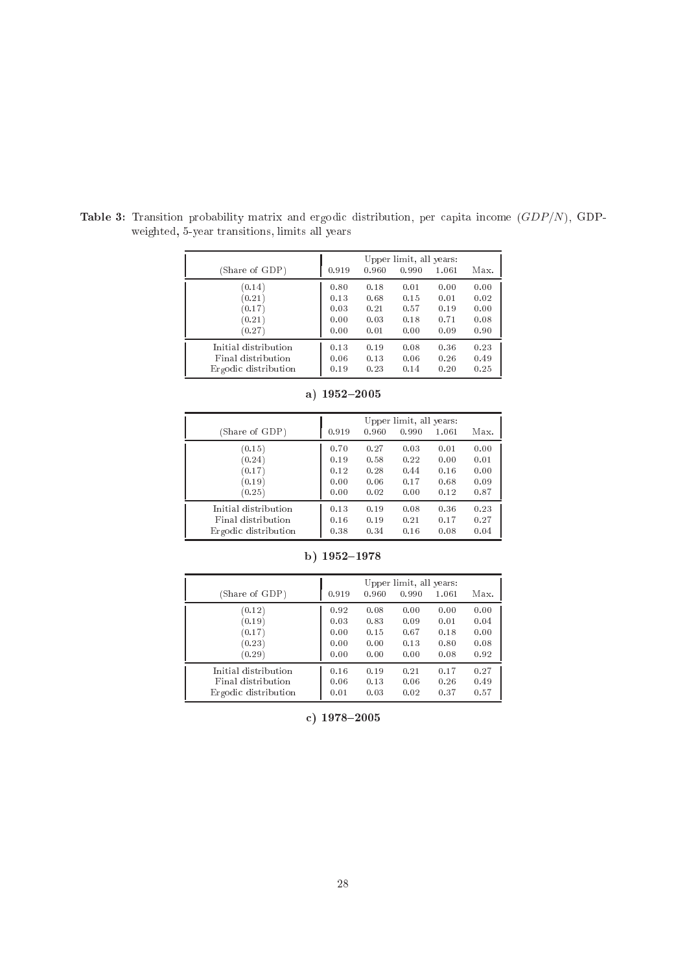|                      | Upper limit, all years: |       |       |       |      |  |  |
|----------------------|-------------------------|-------|-------|-------|------|--|--|
| (Share of GDP)       | 0.919                   | 0.960 | 0.990 | 1.061 | Max. |  |  |
| (0.14)               | 0.80                    | 0.18  | 0.01  | 0.00  | 0.00 |  |  |
| (0.21)               | 0.13                    | 0.68  | 0.15  | 0.01  | 0.02 |  |  |
| (0.17)               | 0.03                    | 0.21  | 0.57  | 0.19  | 0.00 |  |  |
| (0.21)               | 0.00                    | 0.03  | 0.18  | 0.71  | 0.08 |  |  |
| (0.27)               | 0.00                    | 0.01  | 0.00  | 0.09  | 0.90 |  |  |
| Initial distribution | 0.13                    | 0.19  | 0.08  | 0.36  | 0.23 |  |  |
| Final distribution   | 0.06                    | 0.13  | 0.06  | 0.26  | 0.49 |  |  |
| Ergodic distribution | 0.19                    | 0.23  | 0.14  | 0.20  | 0.25 |  |  |

Table 3: Transition probability matrix and ergodic distribution, per capita income  $(GDP/N)$ , GDP-

weighted, 5-year transitions, limits all years

| (Share of GDP)       | 0.919 | 0.960 | Upper limit, all years:<br>0.990 | 1.061 | Max. |
|----------------------|-------|-------|----------------------------------|-------|------|
| (0.15)               | 0.70  | 0.27  | 0.03                             | 0.01  | 0.00 |
| (0.24)               | 0.19  | 0.58  | 0.22                             | 0.00  | 0.01 |
| (0.17)               | 0.12  | 0.28  | 0.44                             | 0.16  | 0.00 |
| (0.19)               | 0.00  | 0.06  | 0.17                             | 0.68  | 0.09 |
| (0.25)               | 0.00  | 0.02  | 0.00                             | 0.12  | 0.87 |
| Initial distribution | 0.13  | 0.19  | 0.08                             | 0.36  | 0.23 |
| Final distribution   | 0.16  | 0.19  | 0.21                             | 0.17  | 0.27 |
| Ergodic distribution | 0.38  | 0.34  | 0.16                             | 0.08  | 0.04 |

a)  $1952 - 2005$ 

| (Share of GDP)       | 0.919 | 0.960 | Upper limit, all years:<br>0.990 | 1.061 | Max. |
|----------------------|-------|-------|----------------------------------|-------|------|
| (0.12)               | 0.92  | 0.08  | 0.00                             | 0.00  | 0.00 |
| (0.19)               | 0.03  | 0.83  | 0.09                             | 0.01  | 0.04 |
| (0.17)               | 0.00  | 0.15  | 0.67                             | 0.18  | 0.00 |
| (0.23)               | 0.00  | 0.00  | 0.13                             | 0.80  | 0.08 |
| (0.29)               | 0.00  | 0.00  | 0.00                             | 0.08  | 0.92 |
| Initial distribution | 0.16  | 0.19  | 0.21                             | 0.17  | 0.27 |
| Final distribution   | 0.06  | 0.13  | 0.06                             | 0.26  | 0.49 |
| Ergodic distribution | 0.01  | 0.03  | 0.02                             | 0.37  | 0.57 |

b)  $1952 - 1978$ 

c)  $1978 - 2005$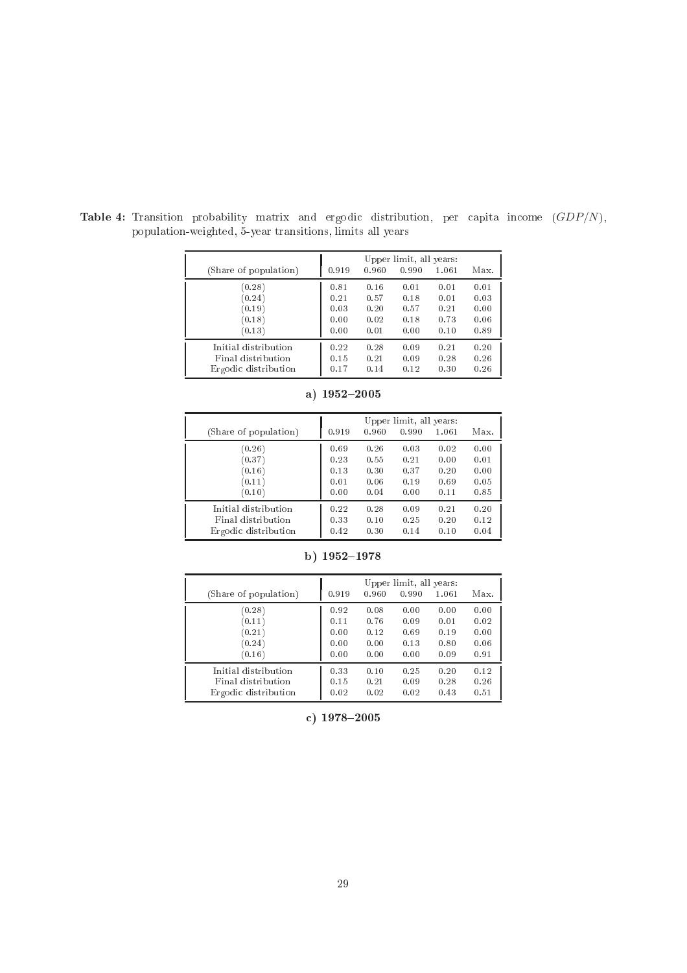|                       | Upper limit, all years: |       |       |       |      |  |  |
|-----------------------|-------------------------|-------|-------|-------|------|--|--|
| (Share of population) | 0.919                   | 0.960 | 0.990 | 1.061 | Max. |  |  |
| (0.28)                | 0.81                    | 0.16  | 0.01  | 0.01  | 0.01 |  |  |
| (0.24)                | 0.21                    | 0.57  | 0.18  | 0.01  | 0.03 |  |  |
| (0.19)                | 0.03                    | 0.20  | 0.57  | 0.21  | 0.00 |  |  |
| (0.18)                | 0.00                    | 0.02  | 0.18  | 0.73  | 0.06 |  |  |
| (0.13)                | 0.00                    | 0.01  | 0.00  | 0.10  | 0.89 |  |  |
| Initial distribution  | 0.22                    | 0.28  | 0.09  | 0.21  | 0.20 |  |  |
| Final distribution    | 0.15                    | 0.21  | 0.09  | 0.28  | 0.26 |  |  |
| Ergodic distribution  | 0.17                    | 0.14  | 0.12  | 0.30  | 0.26 |  |  |

Table 4: Transition probability matrix and ergodic distribution, per capita income  $(GDP/N)$ ,

population-weighted, 5-year transitions, limits all years

| (Share of population) | 0.919 | 0.960 | Upper limit, all years:<br>0.990 | 1.061 | Max. |
|-----------------------|-------|-------|----------------------------------|-------|------|
| (0.26)                | 0.69  | 0.26  | 0.03                             | 0.02  | 0.00 |
| (0.37)                | 0.23  | 0.55  | 0.21                             | 0.00  | 0.01 |
| (0.16)                | 0.13  | 0.30  | 0.37                             | 0.20  | 0.00 |
| (0.11)                | 0.01  | 0.06  | 0.19                             | 0.69  | 0.05 |
| (0.10)                | 0.00  | 0.04  | 0.00                             | 0.11  | 0.85 |
| Initial distribution  | 0.22  | 0.28  | 0.09                             | 0.21  | 0.20 |
| Final distribution    | 0.33  | 0.10  | 0.25                             | 0.20  | 0.12 |
| Ergodic distribution  | 0.42  | 0.30  | 0.14                             | 0.10  | 0.04 |

a)  $1952 - 2005$ 

| (Share of population) | 0.919 | 0.960 | Upper limit, all years:<br>0.990 | 1.061 | Max. |
|-----------------------|-------|-------|----------------------------------|-------|------|
| (0.28)                | 0.92  | 0.08  | 0.00                             | 0.00  | 0.00 |
| (0.11)                | 0.11  | 0.76  | 0.09                             | 0.01  | 0.02 |
| (0.21)                | 0.00  | 0.12  | 0.69                             | 0.19  | 0.00 |
| (0.24)                | 0.00  | 0.00  | 0.13                             | 0.80  | 0.06 |
| (0.16)                | 0.00  | 0.00  | 0.00                             | 0.09  | 0.91 |
| Initial distribution  | 0.33  | 0.10  | 0.25                             | 0.20  | 0.12 |
| Final distribution    | 0.15  | 0.21  | 0.09                             | 0.28  | 0.26 |
| Ergodic distribution  | 0.02  | 0.02  | 0.02                             | 0.43  | 0.51 |

b)  $1952 - 1978$ 

c)  $1978 - 2005$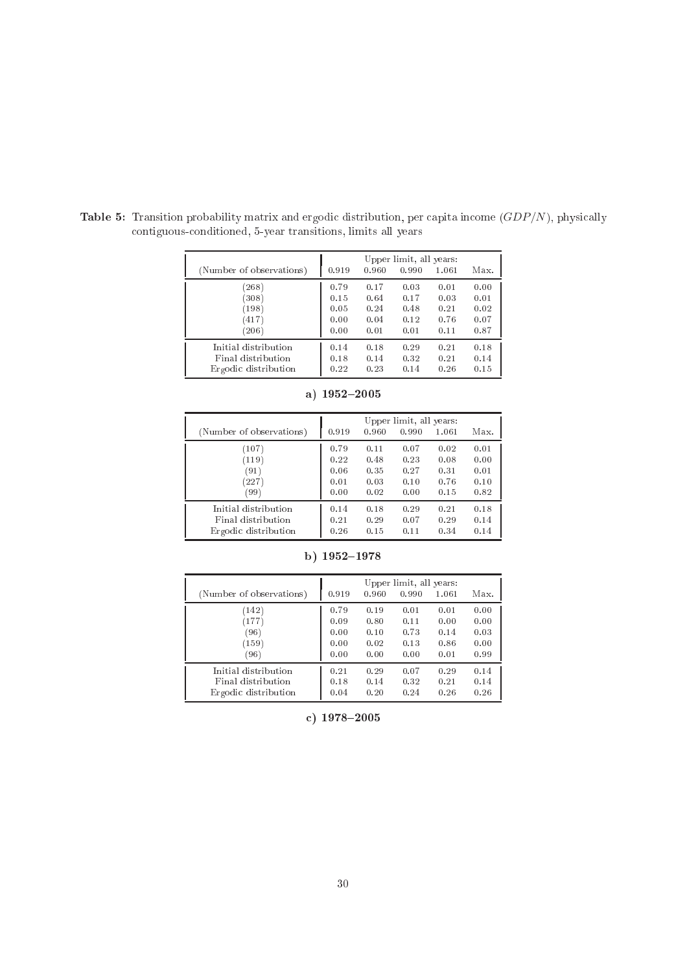|                          | Upper limit, all years: |       |       |       |      |  |  |
|--------------------------|-------------------------|-------|-------|-------|------|--|--|
| (Number of observations) | 0.919                   | 0.960 | 0.990 | 1.061 | Max. |  |  |
| (268)                    | 0.79                    | 0.17  | 0.03  | 0.01  | 0.00 |  |  |
| (308)                    | 0.15                    | 0.64  | 0.17  | 0.03  | 0.01 |  |  |
| (198)                    | 0.05                    | 0.24  | 0.48  | 0.21  | 0.02 |  |  |
| (417)                    | 0.00                    | 0.04  | 0.12  | 0.76  | 0.07 |  |  |
| (206)                    | 0.00                    | 0.01  | 0.01  | 0.11  | 0.87 |  |  |
| Initial distribution     | 0.14                    | 0.18  | 0.29  | 0.21  | 0.18 |  |  |
| Final distribution       | 0.18                    | 0.14  | 0.32  | 0.21  | 0.14 |  |  |
| Ergodic distribution     | 0.22                    | 0.23  | 0.14  | 0.26  | 0.15 |  |  |

Table 5: Transition probability matrix and ergodic distribution, per capita income  $(GDP/N)$ , physically ontiguousonditioned, 5-year transitions, limits all years

| (Number of observations) | 0.919 | 0.960 | Upper limit, all years:<br>0.990 | 1.061 | Max. |
|--------------------------|-------|-------|----------------------------------|-------|------|
| (107)                    | 0.79  | 0.11  | 0.07                             | 0.02  | 0.01 |
| (119)                    | 0.22  | 0.48  | 0.23                             | 0.08  | 0.00 |
| (91)                     | 0.06  | 0.35  | 0.27                             | 0.31  | 0.01 |
| (227)                    | 0.01  | 0.03  | 0.10                             | 0.76  | 0.10 |
| (99)                     | 0.00  | 0.02  | 0.00                             | 0.15  | 0.82 |
| Initial distribution     | 0.14  | 0.18  | 0.29                             | 0.21  | 0.18 |
| Final distribution       | 0.21  | 0.29  | 0.07                             | 0.29  | 0.14 |
| Ergodic distribution     | 0.26  | 0.15  | 0.11                             | 0.34  | 0.14 |

a)  $1952 - 2005$ 

|                          | Upper limit, all years: |       |       |       |      |
|--------------------------|-------------------------|-------|-------|-------|------|
| (Number of observations) | 0.919                   | 0.960 | 0.990 | 1.061 | Max. |
| (142)                    | 0.79                    | 0.19  | 0.01  | 0.01  | 0.00 |
| (177)                    | 0.09                    | 0.80  | 0.11  | 0.00  | 0.00 |
| (96)                     | 0.00                    | 0.10  | 0.73  | 0.14  | 0.03 |
| (159)                    | 0.00                    | 0.02  | 0.13  | 0.86  | 0.00 |
| (96)                     | 0.00                    | 0.00  | 0.00  | 0.01  | 0.99 |
| Initial distribution     | 0.21                    | 0.29  | 0.07  | 0.29  | 0.14 |
| Final distribution       | 0.18                    | 0.14  | 0.32  | 0.21  | 0.14 |
| Ergodic distribution     | 0.04                    | 0.20  | 0.24  | 0.26  | 0.26 |

b)  $1952 - 1978$ 

c)  $1978 - 2005$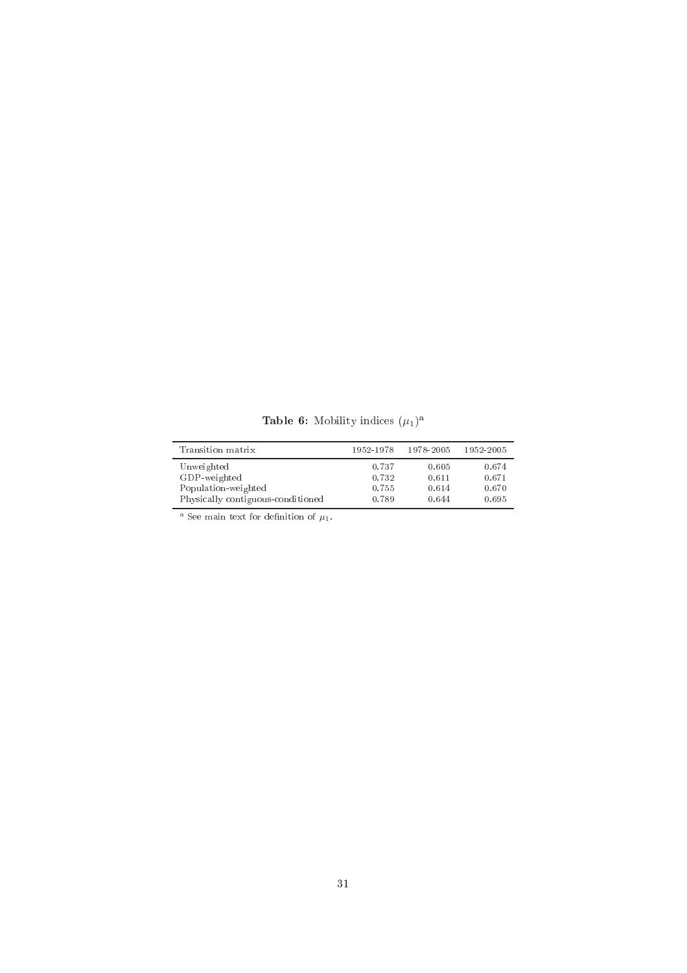**Table 6:** Mobility indices  $(\mu_1)^a$ 

| Transition matrix                 | 1952-1978 | 1978-2005 | 1952-2005 |
|-----------------------------------|-----------|-----------|-----------|
| Unweighted                        | 0.737     | 0.605     | 0.674     |
| GDP-weighted                      | 0.732     | 0.611     | 0.671     |
| Population-weighted               | 0.755     | 0.614     | 0.670     |
| Physically contiguous-conditioned | 0.789     | 0.644     | 0.695     |

<sup>a</sup> See main text for definition of  $\mu_1$ .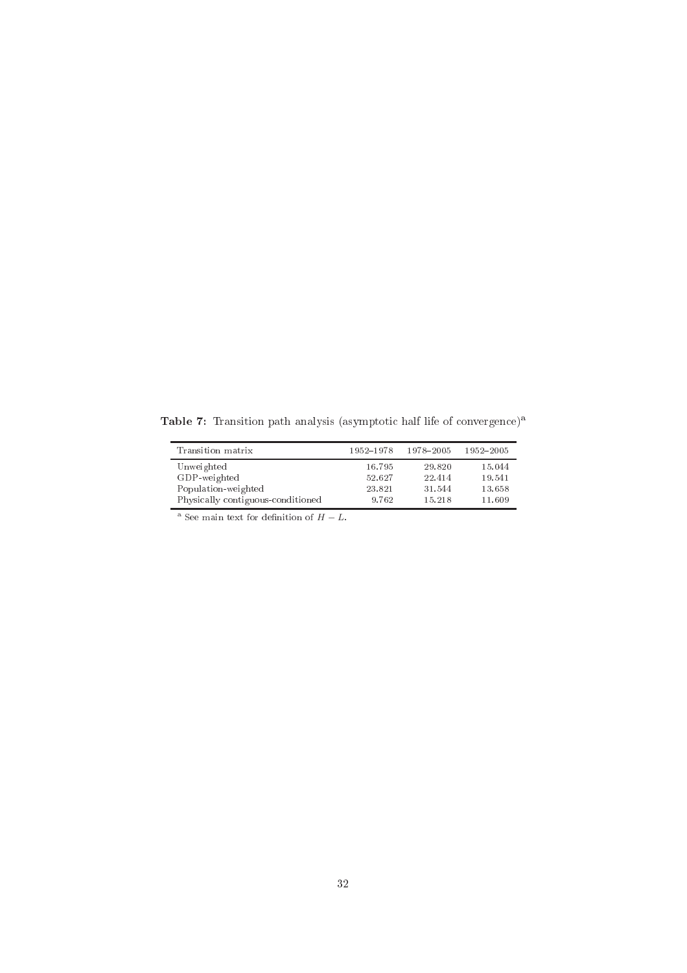Table 7: Transition path analysis (asymptotic half life of convergence)<sup>a</sup>

| Transition matrix                 | 1952-1978 | 1978-2005 | 1952-2005 |
|-----------------------------------|-----------|-----------|-----------|
| Unweighted                        | 16.795    | 29.820    | 15.044    |
| GDP-weighted                      | 52.627    | 22.414    | 19.541    |
| Population-weighted               | 23.821    | 31.544    | 13.658    |
| Physically contiguous-conditioned | 9.762     | 15.218    | 11.609    |

<sup>a</sup> See main text for definition of  $H - L$ .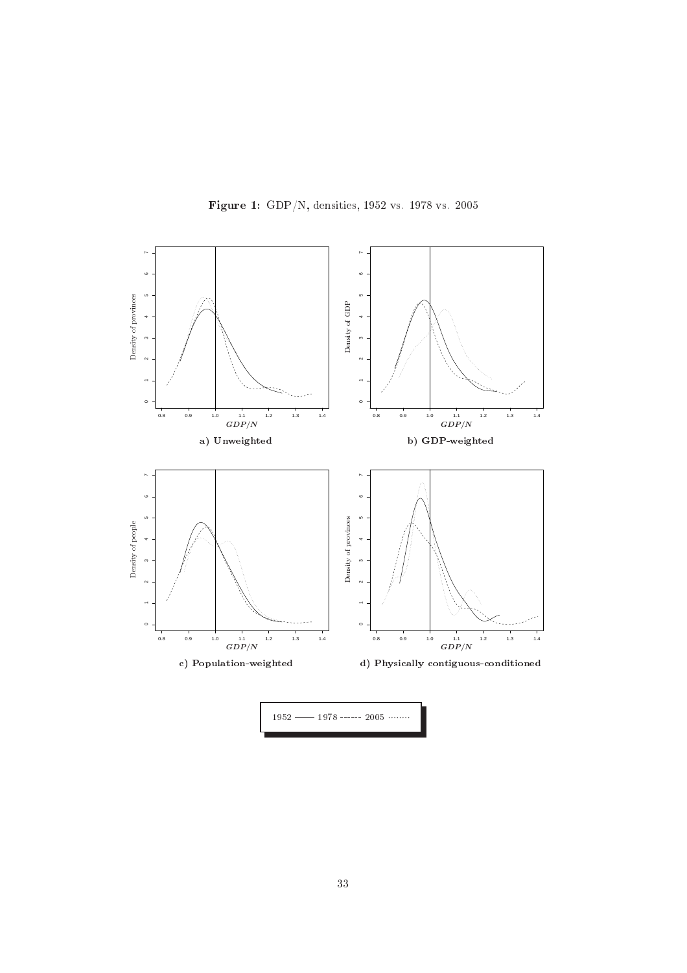

Figure 1: GDP/N, densities, 1952 vs. 1978 vs. 2005  $52$ 

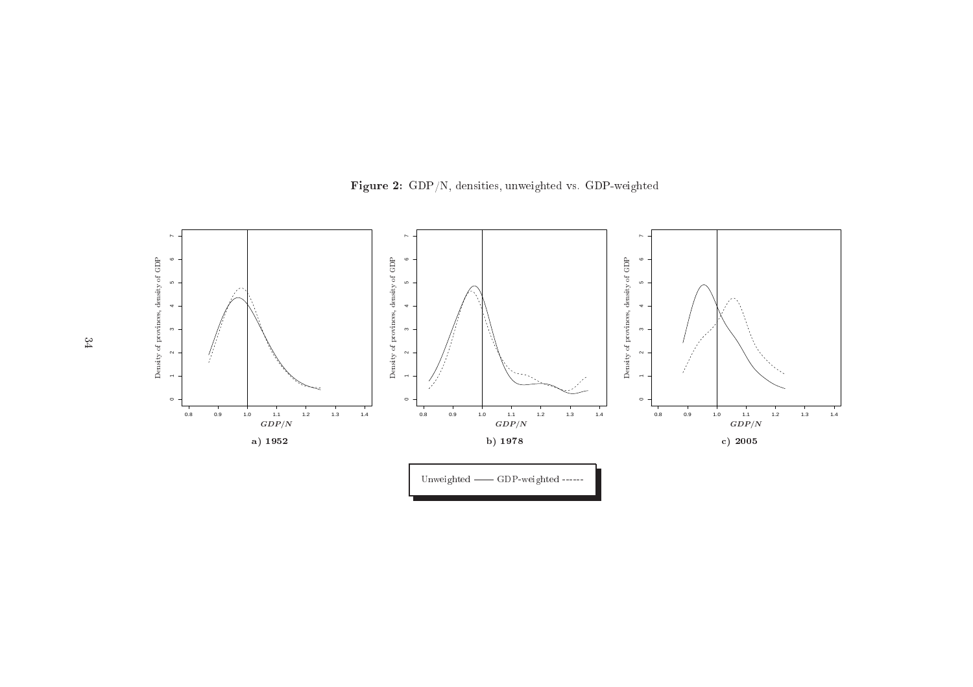

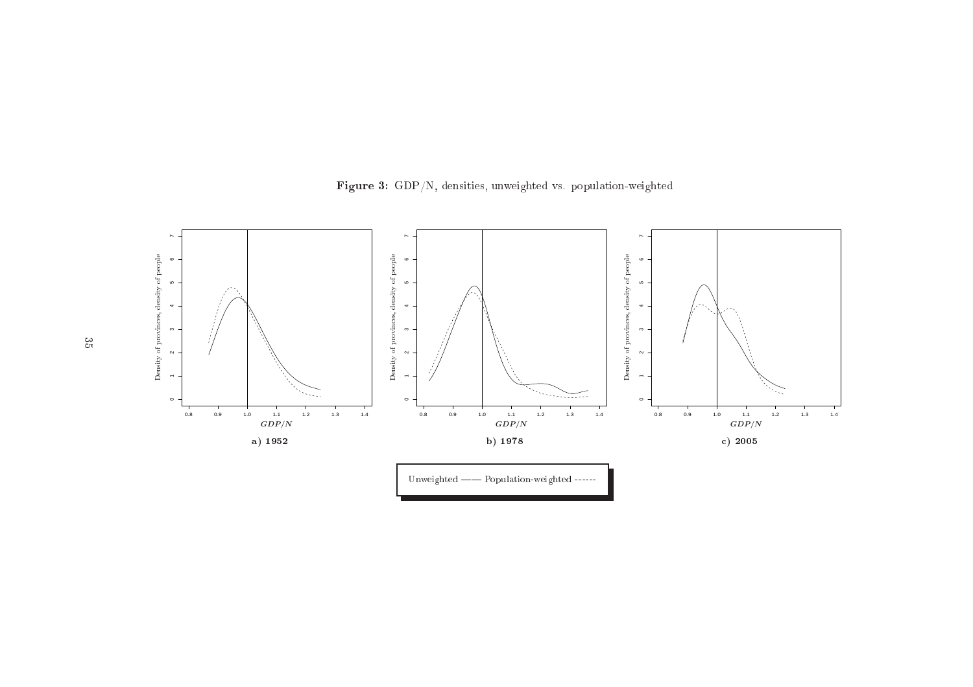

Figure 3: GDP/N, densities, unweighted vs. population-weighted repla
ementsrepla
ements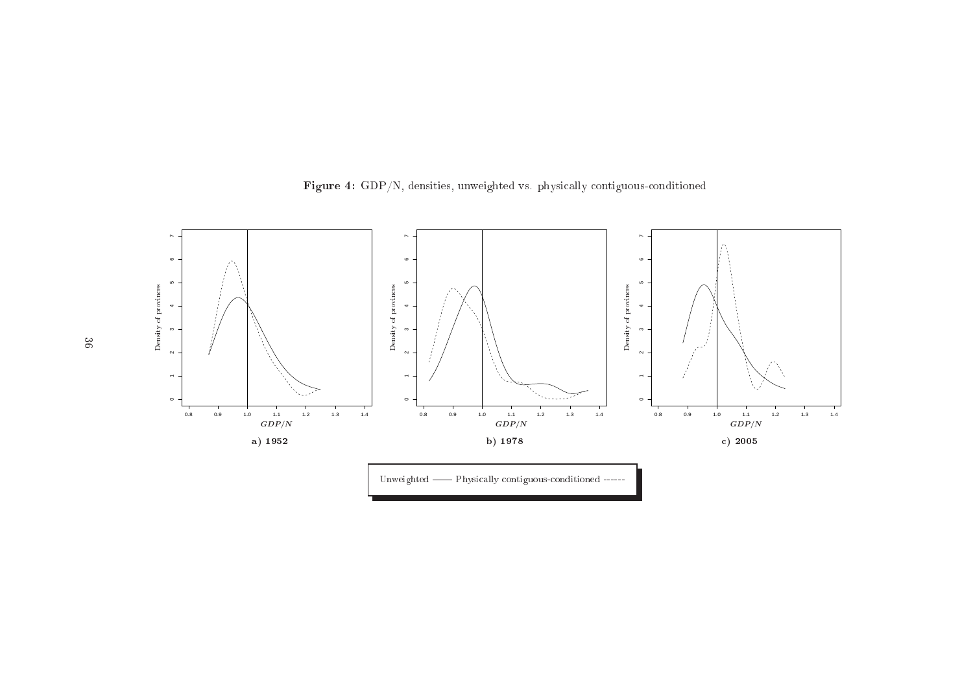

Figure 4: GDP/N, densities, unweighted vs. <sup>p</sup>hysi
ally ontiguousonditioned repla
ementsrepla
ements

 $36$  $\frac{1}{2}$